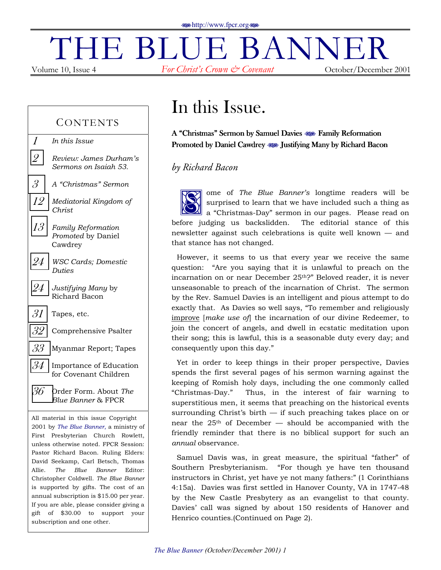# $\prod_{\text{Volume 10, Issue 4}} \text{BLE}$   $\text{BLUE}$   $\text{BANNER}$ *For Christ's Crown*  $\mathcal{C}^{\infty}$  *Covenant* October/December 2001

### **CONTENTS**

- 1 *In this Issue*
- [2](#page-1-0) *Review: James Durhamís Sermons on Isaiah 53.*
- [3](#page-2-0) A "Christmas" Sermon
- [12](#page-11-0) *Mediatorial Kingdom of Christ*
- [13](#page-12-0) *Family Reformation Promoted* by Daniel Cawdrey
- [24](#page-23-0) *WSC Cards; Domestic Duties*
- [24](#page-23-0) *Justifying Many* by Richard Bacon
- $31$  Tapes, etc.
- $32$  Comprehensive Psalter
- $33$  Myanmar Report; Tapes
- $34$  Importance of Education for Covenant Children
- [36](#page-35-0) Order Form. About *The Blue Banner* & FPCR

All material in this issue Copyright © 2001 by *The Blue Banner*, a ministry of First Presbyterian Church Rowlett, unless otherwise noted. FPCR Session: Pastor Richard Bacon. Ruling Elders: David Seekamp, Carl Betsch, Thomas Allie. *The Blue Banner* Editor: Christopher Coldwell. *The Blue Banner* is supported by gifts. The cost of an annual subscription is \$15.00 per year. If you are able, please consider giving a gift of \$30.00 to support your subscription and one other.

# In this Issue.

A "Christmas" Sermon by Samuel Davies  $\otimes$  Family Reformation Promoted by Daniel Cawdrey  $\otimes$  Justifying Many by Richard Bacon

### *by Richard Bacon*

ome of *The Blue Bannerís* longtime readers will be surprised to learn that we have included such a thing as a "Christmas-Day" sermon in our pages. Please read on before judging us backslidden. The editorial stance of this newsletter against such celebrations is quite well known  $-$  and that stance has not changed. S on

However, it seems to us that every year we receive the same question: "Are you saying that it is unlawful to preach on the incarnation on or near December 25<sup>th</sup>?" Beloved reader, it is never unseasonable to preach of the incarnation of Christ. The sermon by the Rev. Samuel Davies is an intelligent and pious attempt to do exactly that. As Davies so well says, "To remember and religiously improve [*make use of*] the incarnation of our divine Redeemer, to join the concert of angels, and dwell in ecstatic meditation upon their song; this is lawful, this is a seasonable duty every day; and consequently upon this day."

Yet in order to keep things in their proper perspective, Davies spends the first several pages of his sermon warning against the keeping of Romish holy days, including the one commonly called ìChristmas-Day.î Thus, in the interest of fair warning to superstitious men, it seems that preaching on the historical events surrounding Christ's birth  $-$  if such preaching takes place on or near the  $25<sup>th</sup>$  of December – should be accompanied with the friendly reminder that there is no biblical support for such an *annual* observance.

Samuel Davis was, in great measure, the spiritual "father" of Southern Presbyterianism. "For though ye have ten thousand instructors in Christ, yet have ye not many fathers:" (1 Corinthians 4:15a). Davies was first settled in Hanover County, VA in 1747-48 by the New Castle Presbytery as an evangelist to that county. Davies' call was signed by about 150 residents of Hanover and Henrico counties.(Continued on Page 2).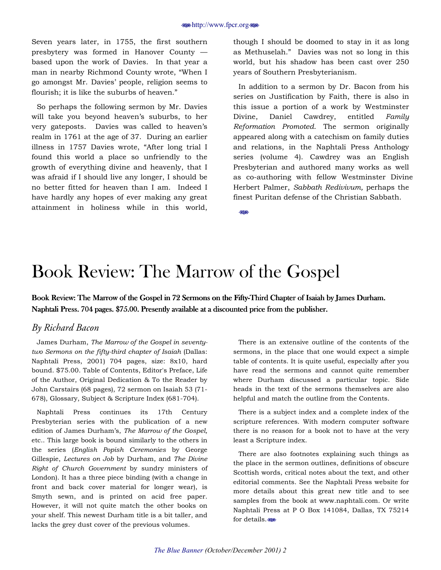<span id="page-1-0"></span>Seven years later, in 1755, the first southern presbytery was formed in Hanover County  $$ based upon the work of Davies. In that year a man in nearby Richmond County wrote, "When I go amongst Mr. Davies' people, religion seems to flourish; it is like the suburbs of heaven."

So perhaps the following sermon by Mr. Davies will take you beyond heaven's suburbs, to her very gateposts. Davies was called to heaven's realm in 1761 at the age of 37. During an earlier illness in 1757 Davies wrote, "After long trial I found this world a place so unfriendly to the growth of everything divine and heavenly, that I was afraid if I should live any longer, I should be no better fitted for heaven than I am. Indeed I have hardly any hopes of ever making any great attainment in holiness while in this world, though I should be doomed to stay in it as long as Methuselah." Davies was not so long in this world, but his shadow has been cast over 250 years of Southern Presbyterianism.

In addition to a sermon by Dr. Bacon from his series on Justification by Faith, there is also in this issue a portion of a work by Westminster Divine, Daniel Cawdrey, entitled *Family Reformation Promoted*. The sermon originally appeared along with a catechism on family duties and relations, in the Naphtali Press Anthology series (volume 4). Cawdrey was an English Presbyterian and authored many works as well as co-authoring with fellow Westminster Divine Herbert Palmer, *Sabbath Redivivum,* perhaps the finest Puritan defense of the Christian Sabbath.

**SIDE** 

# Book Review: The Marrow of the Gospel

Book Review: The Marrow of the Gospel in 72 Sermons on the Fifty-Third Chapter of Isaiah by James Durham. Naphtali Press. 704 pages. \$75.00. Presently available at a discounted price from the publisher.

### *By Richard Bacon*

James Durham, *The Marrow of the Gospel in seventytwo Sermons on the fifty-third chapter of Isaiah* (Dallas: Naphtali Press, 2001) 704 pages, size: 8x10, hard bound. \$75.00. Table of Contents, Editor's Preface, Life of the Author, Original Dedication & To the Reader by John Carstairs (68 pages), 72 sermon on Isaiah 53 (71- 678), Glossary, Subject & Scripture Index (681-704).

Naphtali Press continues its 17th Century Presbyterian series with the publication of a new edition of James Durhamís, *The Marrow of the Gospel,* etc.. This large book is bound similarly to the others in the series (*English Popish Ceremonies* by George Gillespie, *Lectures on Job* by Durham, and *The Divine Right of Church Government* by sundry ministers of London). It has a three piece binding (with a change in front and back cover material for longer wear), is Smyth sewn, and is printed on acid free paper. However, it will not quite match the other books on your shelf. This newest Durham title is a bit taller, and lacks the grey dust cover of the previous volumes.

There is an extensive outline of the contents of the sermons, in the place that one would expect a simple table of contents. It is quite useful, especially after you have read the sermons and cannot quite remember where Durham discussed a particular topic. Side heads in the text of the sermons themselves are also helpful and match the outline from the Contents.

There is a subject index and a complete index of the scripture references. With modern computer software there is no reason for a book not to have at the very least a Scripture index.

There are also footnotes explaining such things as the place in the sermon outlines, definitions of obscure Scottish words, critical notes about the text, and other editorial comments. See the Naphtali Press website for more details about this great new title and to see samples from the book at www.naphtali.com. Or write Naphtali Press at P O Box 141084, Dallas, TX 75214 for details.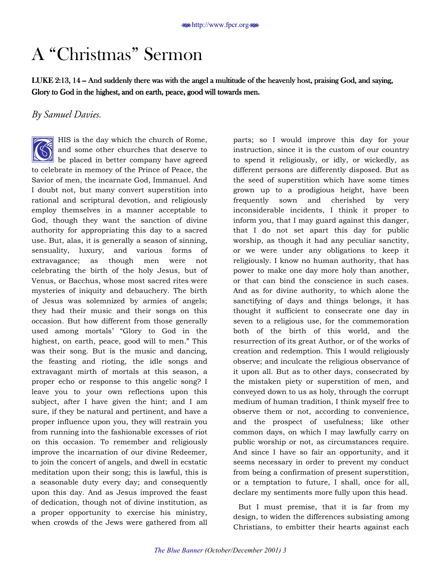# <span id="page-2-0"></span>A "Christmas" Sermon

LUKE 2:13, 14 -- And suddenly there was with the angel a multitude of the heavenly host, praising God, and saying, Glory to God in the highest, and on earth, peace, good will towards men.

### *By Samuel Davies.*

HIS is the day which the church of Rome, and some other churches that deserve to be placed in better company have agreed to celebrate in memory of the Prince of Peace, the Savior of men, the incarnate God, Immanuel. And I doubt not, but many convert superstition into rational and scriptural devotion, and religiously employ themselves in a manner acceptable to God, though they want the sanction of divine authority for appropriating this day to a sacred use. But, alas, it is generally a season of sinning, sensuality, luxury, and various forms of extravagance; as though men were not celebrating the birth of the holy Jesus, but of Venus, or Bacchus, whose most sacred rites were mysteries of iniquity and debauchery. The birth of Jesus was solemnized by armies of angels; they had their music and their songs on this occasion. But how different from those generally used among mortals' "Glory to God in the highest, on earth, peace, good will to men." This was their song. But is the music and dancing, the feasting and rioting, the idle songs and extravagant mirth of mortals at this season, a proper echo or response to this angelic song? I leave you to your own reflections upon this subject, after I have given the hint; and I am sure, if they be natural and pertinent, and have a proper influence upon you, they will restrain you from running into the fashionable excesses of riot on this occasion. To remember and religiously improve the incarnation of our divine Redeemer, to join the concert of angels, and dwell in ecstatic meditation upon their song; this is lawful, this is a seasonable duty every day; and consequently upon this day. And as Jesus improved the feast of dedication, though not of divine institution, as a proper opportunity to exercise his ministry, when crowds of the Jews were gathered from all  $\bigotimes^H_{\text{he}}$ 

parts; so I would improve this day for your instruction, since it is the custom of our country to spend it religiously, or idly, or wickedly, as different persons are differently disposed. But as the seed of superstition which have some times grown up to a prodigious height, have been frequently sown and cherished by very inconsiderable incidents, I think it proper to inform you, that I may guard against this danger, that I do not set apart this day for public worship, as though it had any peculiar sanctity, or we were under any obligations to keep it religiously. I know no human authority, that has power to make one day more holy than another, or that can bind the conscience in such cases. And as for divine authority, to which alone the sanctifying of days and things belongs, it has thought it sufficient to consecrate one day in seven to a religious use, for the commemoration both of the birth of this world, and the resurrection of its great Author, or of the works of creation and redemption. This I would religiously observe; and inculcate the religious observance of it upon all. But as to other days, consecrated by the mistaken piety or superstition of men, and conveyed down to us as holy, through the corrupt medium of human tradition, I think myself free to observe them or not, according to convenience, and the prospect of usefulness; like other common days, on which I may lawfully carry on public worship or not, as circumstances require. And since I have so fair an opportunity, and it seems necessary in order to prevent my conduct from being a confirmation of present superstition, or a temptation to future, I shall, once for all, declare my sentiments more fully upon this head.

But I must premise, that it is far from my design, to widen the differences subsisting among Christians, to embitter their hearts against each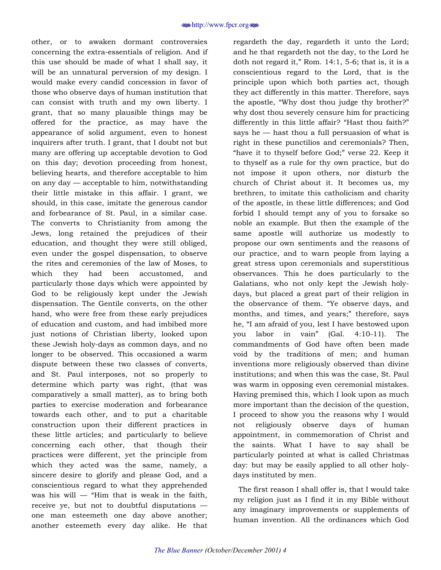other, or to awaken dormant controversies concerning the extra-essentials of religion. And if this use should be made of what I shall say, it will be an unnatural perversion of my design. I would make every candid concession in favor of those who observe days of human institution that can consist with truth and my own liberty. I grant, that so many plausible things may be offered for the practice, as may have the appearance of solid argument, even to honest inquirers after truth. I grant, that I doubt not but many are offering up acceptable devotion to God on this day; devotion proceeding from honest, believing hearts, and therefore acceptable to him on any day  $-$  acceptable to him, notwithstanding their little mistake in this affair. I grant, we should, in this case, imitate the generous candor and forbearance of St. Paul, in a similar case. The converts to Christianity from among the Jews, long retained the prejudices of their education, and thought they were still obliged, even under the gospel dispensation, to observe the rites and ceremonies of the law of Moses, to which they had been accustomed, and particularly those days which were appointed by God to be religiously kept under the Jewish dispensation. The Gentile converts, on the other hand, who were free from these early prejudices of education and custom, and had imbibed more just notions of Christian liberty, looked upon these Jewish holy-days as common days, and no longer to be observed. This occasioned a warm dispute between these two classes of converts, and St. Paul interposes, not so properly to determine which party was right, (that was comparatively a small matter), as to bring both parties to exercise moderation and forbearance towards each other, and to put a charitable construction upon their different practices in these little articles; and particularly to believe concerning each other, that though their practices were different, yet the principle from which they acted was the same, namely, a sincere desire to glorify and please God, and a conscientious regard to what they apprehended was his will  $-$  "Him that is weak in the faith, receive ye, but not to doubtful disputations  $$ one man esteemeth one day above another; another esteemeth every day alike. He that

regardeth the day, regardeth it unto the Lord; and he that regardeth not the day, to the Lord he doth not regard it," Rom.  $14:1$ ,  $5-6$ ; that is, it is a conscientious regard to the Lord, that is the principle upon which both parties act, though they act differently in this matter. Therefore, says the apostle, "Why dost thou judge thy brother?" why dost thou severely censure him for practicing differently in this little affair? "Hast thou faith?" says he  $-$  hast thou a full persuasion of what is right in these punctilios and ceremonials? Then, "have it to thyself before God;" verse 22. Keep it to thyself as a rule for thy own practice, but do not impose it upon others, nor disturb the church of Christ about it. It becomes us, my brethren, to imitate this catholicism and charity of the apostle, in these little differences; and God forbid I should tempt any of you to forsake so noble an example. But then the example of the same apostle will authorize us modestly to propose our own sentiments and the reasons of our practice, and to warn people from laying a great stress upon ceremonials and superstitious observances. This he does particularly to the Galatians, who not only kept the Jewish holydays, but placed a great part of their religion in the observance of them. "Ye observe days, and months, and times, and years;" therefore, says he, "I am afraid of you, lest I have bestowed upon you labor in vainî (Gal. 4:10-11). The commandments of God have often been made void by the traditions of men; and human inventions more religiously observed than divine institutions; and when this was the case, St. Paul was warm in opposing even ceremonial mistakes. Having premised this, which I look upon as much more important than the decision of the question, I proceed to show you the reasons why I would not religiously observe days of human appointment, in commemoration of Christ and the saints. What I have to say shall be particularly pointed at what is called Christmas day: but may be easily applied to all other holydays instituted by men.

The first reason I shall offer is, that I would take my religion just as I find it in my Bible without any imaginary improvements or supplements of human invention. All the ordinances which God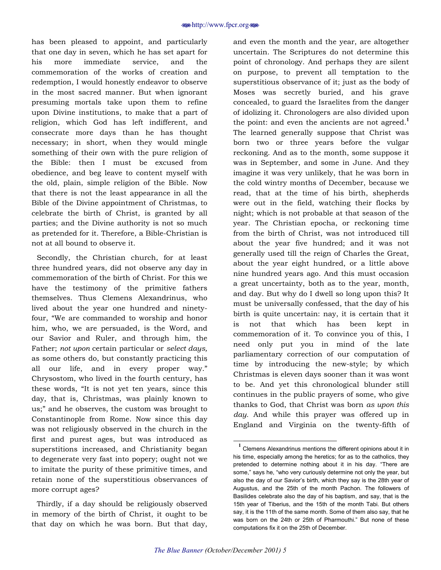has been pleased to appoint, and particularly that one day in seven, which he has set apart for his more immediate service, and the commemoration of the works of creation and redemption, I would honestly endeavor to observe in the most sacred manner. But when ignorant presuming mortals take upon them to refine upon Divine institutions, to make that a part of religion, which God has left indifferent, and consecrate more days than he has thought necessary; in short, when they would mingle something of their own with the pure religion of the Bible: then I must be excused from obedience, and beg leave to content myself with the old, plain, simple religion of the Bible. Now that there is not the least appearance in all the Bible of the Divine appointment of Christmas, to celebrate the birth of Christ, is granted by all parties; and the Divine authority is not so much as pretended for it. Therefore, a Bible-Christian is not at all bound to observe it.

Secondly, the Christian church, for at least three hundred years, did not observe any day in commemoration of the birth of Christ. For this we have the testimony of the primitive fathers themselves. Thus Clemens Alexandrinus, who lived about the year one hundred and ninetyfour, "We are commanded to worship and honor him, who, we are persuaded, is the Word, and our Savior and Ruler, and through him, the Father; *not upon* certain particular or *select days,*  as some others do, but constantly practicing this all our life, and in every proper way." Chrysostom, who lived in the fourth century, has these words, "It is not yet ten years, since this day, that is, Christmas, was plainly known to us;" and he observes, the custom was brought to Constantinople from Rome. Now since this day was not religiously observed in the church in the first and purest ages, but was introduced as superstitions increased, and Christianity began to degenerate very fast into popery; ought not we to imitate the purity of these primitive times, and retain none of the superstitious observances of more corrupt ages?

Thirdly, if a day should be religiously observed in memory of the birth of Christ, it ought to be that day on which he was born. But that day,

and even the month and the year, are altogether uncertain. The Scriptures do not determine this point of chronology. And perhaps they are silent on purpose, to prevent all temptation to the superstitious observance of it; just as the body of Moses was secretly buried, and his grave concealed, to guard the Israelites from the danger of idolizing it. Chronologers are also divided upon the point: and even the ancients are not agreed.**<sup>1</sup>** The learned generally suppose that Christ was born two or three years before the vulgar reckoning. And as to the month, some suppose it was in September, and some in June. And they imagine it was very unlikely, that he was born in the cold wintry months of December, because we read, that at the time of his birth, shepherds were out in the field, watching their flocks by night; which is not probable at that season of the year. The Christian epocha, or reckoning time from the birth of Christ, was not introduced till about the year five hundred; and it was not generally used till the reign of Charles the Great, about the year eight hundred, or a little above nine hundred years ago. And this must occasion a great uncertainty, both as to the year, month, and day. But why do I dwell so long upon this? It must be universally confessed, that the day of his birth is quite uncertain: nay, it is certain that it is not that which has been kept in commemoration of it. To convince you of this, I need only put you in mind of the late parliamentary correction of our computation of time by introducing the new-style; by which Christmas is eleven days sooner than it was wont to be. And yet this chronological blunder still continues in the public prayers of some, who give thanks to God, that Christ was born *as upon this day.* And while this prayer was offered up in England and Virginia on the twenty-fifth of

**1** Clemens Alexandrinus mentions the different opinions about it in his time, especially among the heretics; for as to the catholics, they pretended to determine nothing about it in his day. "There are some," says he, "who very curiously determine not only the year, but also the day of our Savior's birth, which they say is the 28th year of Augustus, and the 25th of the month Pachon. The followers of Basilides celebrate also the day of his baptism, and say, that is the 15th year of Tiberius, and the 15th of the month Tabi. But others say, it is the 11th of the same month. Some of them also say, that he was born on the 24th or 25th of Pharmouthi." But none of these computations fix it on the 25th of December.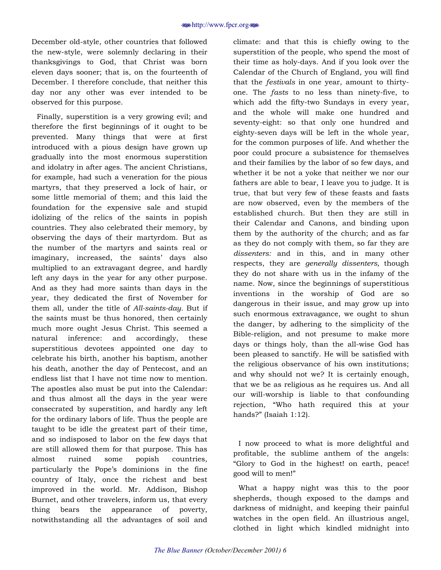December old-style, other countries that followed the new-style, were solemnly declaring in their thanksgivings to God, that Christ was born eleven days sooner; that is, on the fourteenth of December. I therefore conclude, that neither this day nor any other was ever intended to be observed for this purpose.

Finally, superstition is a very growing evil; and therefore the first beginnings of it ought to be prevented. Many things that were at first introduced with a pious design have grown up gradually into the most enormous superstition and idolatry in after ages. The ancient Christians, for example, had such a veneration for the pious martyrs, that they preserved a lock of hair, or some little memorial of them; and this laid the foundation for the expensive sale and stupid idolizing of the relics of the saints in popish countries. They also celebrated their memory, by observing the days of their martyrdom. But as the number of the martyrs and saints real or imaginary, increased, the saints' days also multiplied to an extravagant degree, and hardly left any days in the year for any other purpose. And as they had more saints than days in the year, they dedicated the first of November for them all, under the title of *All-saints-day.* But if the saints must be thus honored, then certainly much more ought Jesus Christ. This seemed a natural inference: and accordingly, these superstitious devotees appointed one day to celebrate his birth, another his baptism, another his death, another the day of Pentecost, and an endless list that I have not time now to mention. The apostles also must be put into the Calendar: and thus almost all the days in the year were consecrated by superstition, and hardly any left for the ordinary labors of life. Thus the people are taught to be idle the greatest part of their time, and so indisposed to labor on the few days that are still allowed them for that purpose. This has almost ruined some popish countries, particularly the Pope's dominions in the fine country of Italy, once the richest and best improved in the world. Mr. Addison, Bishop Burnet, and other travelers, inform us, that every thing bears the appearance of poverty, notwithstanding all the advantages of soil and

climate: and that this is chiefly owing to the superstition of the people, who spend the most of their time as holy-days. And if you look over the Calendar of the Church of England, you will find that the *festivals* in one year, amount to thirtyone. The *fasts* to no less than ninety-five, to which add the fifty-two Sundays in every year, and the whole will make one hundred and seventy-eight: so that only one hundred and eighty-seven days will be left in the whole year, for the common purposes of life. And whether the poor could procure a subsistence for themselves and their families by the labor of so few days, and whether it be not a yoke that neither we nor our fathers are able to bear, I leave you to judge. It is true, that but very few of these feasts and fasts are now observed, even by the members of the established church. But then they are still in their Calendar and Canons, and binding upon them by the authority of the church; and as far as they do not comply with them, so far they are *dissenters:* and in this, and in many other respects, they are *generally dissenters,* though they do not share with us in the infamy of the name. Now, since the beginnings of superstitious inventions in the worship of God are so dangerous in their issue, and may grow up into such enormous extravagance, we ought to shun the danger, by adhering to the simplicity of the Bible-religion, and not presume to make more days or things holy, than the all-wise God has been pleased to sanctify. He will be satisfied with the religious observance of his own institutions; and why should not we? It is certainly enough, that we be as religious as he requires us. And all our will-worship is liable to that confounding rejection, "Who hath required this at your hands?" (Isaiah  $1:12$ ).

I now proceed to what is more delightful and profitable, the sublime anthem of the angels: ìGlory to God in the highest! on earth, peace! good will to men!"

What a happy night was this to the poor shepherds, though exposed to the damps and darkness of midnight, and keeping their painful watches in the open field. An illustrious angel, clothed in light which kindled midnight into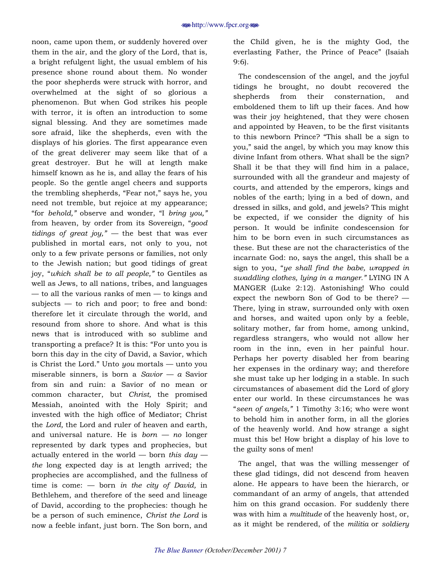noon, came upon them, or suddenly hovered over them in the air, and the glory of the Lord, that is, a bright refulgent light, the usual emblem of his presence shone round about them. No wonder the poor shepherds were struck with horror, and overwhelmed at the sight of so glorious a phenomenon. But when God strikes his people with terror, it is often an introduction to some signal blessing. And they are sometimes made sore afraid, like the shepherds, even with the displays of his glories. The first appearance even of the great deliverer may seem like that of a great destroyer. But he will at length make himself known as he is, and allay the fears of his people. So the gentle angel cheers and supports the trembling shepherds, "Fear not," says he, you need not tremble, but rejoice at my appearance; "for *behold,*" observe and wonder, "I *bring you,*" from heaven, by order from its Sovereign, "*qood tidings of great joy,*"  $-$  the best that was ever published in mortal ears, not only to you, not only to a few private persons or families, not only to the Jewish nation; but good tidings of great joy, "which shall be to all people," to Gentiles as well as Jews, to all nations, tribes, and languages  $-$  to all the various ranks of men  $-$  to kings and subjects  $-$  to rich and poor; to free and bond: therefore let it circulate through the world, and resound from shore to shore. And what is this news that is introduced with so sublime and transporting a preface? It is this: "For unto you is born this day in the city of David, a Savior, which is Christ the Lord." Unto *you* mortals — unto you miserable sinners, is born a *Savior*  $\overline{\phantom{a}}$  a *Savior* from sin and ruin: a Savior of no mean or common character, but *Christ,* the promised Messiah, anointed with the Holy Spirit; and invested with the high office of Mediator; Christ the *Lord,* the Lord and ruler of heaven and earth, and universal nature. He is  $born - no longer$ represented by dark types and prophecies, but actually entered in the world  $-$  born *this day*  $$ *the* long expected day is at length arrived; the prophecies are accomplished, and the fullness of time is come:  $-$  born *in the city of David*, in Bethlehem, and therefore of the seed and lineage of David, according to the prophecies: though he be a person of such eminence, *Christ the Lord* is now a feeble infant, just born. The Son born, and

the Child given, he is the mighty God, the everlasting Father, the Prince of Peace" (Isaiah 9:6).

The condescension of the angel, and the joyful tidings he brought, no doubt recovered the shepherds from their consternation, and emboldened them to lift up their faces. And how was their joy heightened, that they were chosen and appointed by Heaven, to be the first visitants to this newborn Prince? "This shall be a sign to you," said the angel, by which you may know this divine Infant from others. What shall be the sign? Shall it be that they will find him in a palace, surrounded with all the grandeur and majesty of courts, and attended by the emperors, kings and nobles of the earth; lying in a bed of down, and dressed in silks, and gold, and jewels? This might be expected, if we consider the dignity of his person. It would be infinite condescension for him to be born even in such circumstances as these. But these are not the characteristics of the incarnate God: no, says the angel, this shall be a sign to you, "*ye shall find the babe, wrapped in swaddling clothes, lying in a manger.î* LYING IN A MANGER (Luke 2:12). Astonishing! Who could expect the newborn Son of God to be there?  $-$ There, lying in straw, surrounded only with oxen and horses, and waited upon only by a feeble, solitary mother, far from home, among unkind, regardless strangers, who would not allow her room in the inn, even in her painful hour. Perhaps her poverty disabled her from bearing her expenses in the ordinary way; and therefore she must take up her lodging in a stable. In such circumstances of abasement did the Lord of glory enter our world. In these circumstances he was ì*seen of angels,î* 1 Timothy 3:16; who were wont to behold him in another form, in all the glories of the heavenly world. And how strange a sight must this be! How bright a display of his love to the guilty sons of men!

The angel, that was the willing messenger of these glad tidings, did not descend from heaven alone. He appears to have been the hierarch, or commandant of an army of angels, that attended him on this grand occasion. For suddenly there was with him a *multitude* of the heavenly host, or, as it might be rendered, of the *militia* or *soldiery*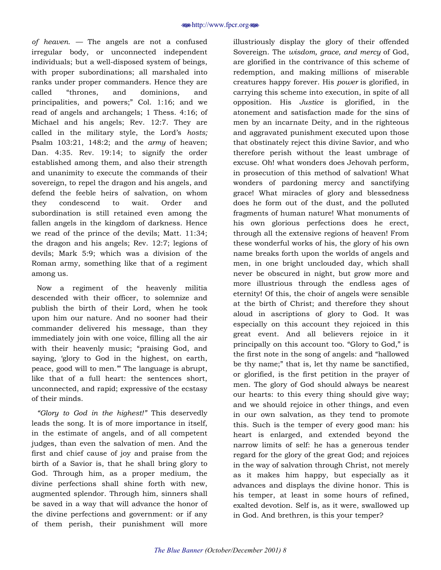*of heaven.* – The angels are not a confused irregular body, or unconnected independent individuals; but a well-disposed system of beings, with proper subordinations; all marshaled into ranks under proper commanders. Hence they are called "thrones, and dominions, and principalities, and powers;" Col. 1:16; and we read of angels and archangels; 1 Thess. 4:16; of Michael and his angels; Rev. 12:7. They are called in the military style, the Lord's *hosts;* Psalm 103:21, 148:2; and the *army* of heaven; Dan. 4:35. Rev. 19:14; to signify the order established among them, and also their strength and unanimity to execute the commands of their sovereign, to repel the dragon and his angels, and defend the feeble heirs of salvation, on whom they condescend to wait. Order and subordination is still retained even among the fallen angels in the kingdom of darkness. Hence we read of the prince of the devils; Matt. 11:34; the dragon and his angels; Rev. 12:7; legions of devils; Mark 5:9; which was a division of the Roman army, something like that of a regiment among us.

Now a regiment of the heavenly militia descended with their officer, to solemnize and publish the birth of their Lord, when he took upon him our nature. And no sooner had their commander delivered his message, than they immediately join with one voice, filling all the air with their heavenly music; "praising God, and saying, ëglory to God in the highest, on earth, peace, good will to men." The language is abrupt, like that of a full heart: the sentences short, unconnected, and rapid; expressive of the ecstasy of their minds.

*ìGlory to God in the highest!î* This deservedly leads the song. It is of more importance in itself, in the estimate of angels, and of all competent judges, than even the salvation of men. And the first and chief cause of joy and praise from the birth of a Savior is, that he shall bring glory to God. Through him, as a proper medium, the divine perfections shall shine forth with new, augmented splendor. Through him, sinners shall be saved in a way that will advance the honor of the divine perfections and government: or if any of them perish, their punishment will more

illustriously display the glory of their offended Sovereign. The *wisdom, grace, and mercy* of God, are glorified in the contrivance of this scheme of redemption, and making millions of miserable creatures happy forever. His *power* is glorified, in carrying this scheme into execution, in spite of all opposition. His *Justice* is glorified, in the atonement and satisfaction made for the sins of men by an incarnate Deity, and in the righteous and aggravated punishment executed upon those that obstinately reject this divine Savior, and who therefore perish without the least umbrage of excuse. Oh! what wonders does Jehovah perform, in prosecution of this method of salvation! What wonders of pardoning mercy and sanctifying grace! What miracles of glory and blessedness does he form out of the dust, and the polluted fragments of human nature! What monuments of his own glorious perfections does he erect, through all the extensive regions of heaven! From these wonderful works of his, the glory of his own name breaks forth upon the worlds of angels and men, in one bright unclouded day, which shall never be obscured in night, but grow more and more illustrious through the endless ages of eternity! Of this, the choir of angels were sensible at the birth of Christ; and therefore they shout aloud in ascriptions of glory to God. It was especially on this account they rejoiced in this great event. And all believers rejoice in it principally on this account too. "Glory to God," is the first note in the song of angels: and "hallowed" be thy name;" that is, let thy name be sanctified, or glorified, is the first petition in the prayer of men. The glory of God should always be nearest our hearts: to this every thing should give way; and we should rejoice in other things, and even in our own salvation, as they tend to promote this. Such is the temper of every good man: his heart is enlarged, and extended beyond the narrow limits of self: he has a generous tender regard for the glory of the great God; and rejoices in the way of salvation through Christ, not merely as it makes him happy, but especially as it advances and displays the divine honor. This is his temper, at least in some hours of refined, exalted devotion. Self is, as it were, swallowed up in God. And brethren, is this your temper?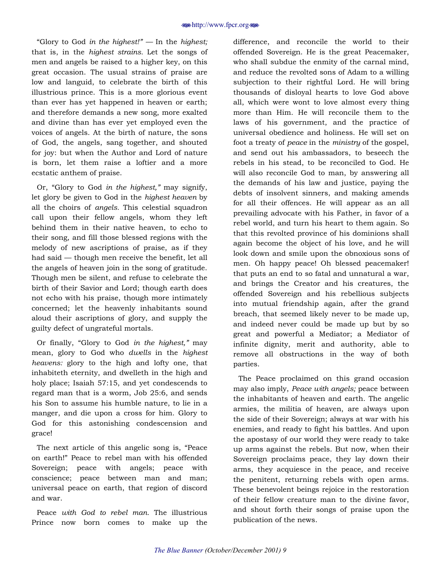ìGlory to God *in the highest!î ó* In the *highest;*  that is, in the *highest strains.* Let the songs of men and angels be raised to a higher key, on this great occasion. The usual strains of praise are low and languid, to celebrate the birth of this illustrious prince. This is a more glorious event than ever has yet happened in heaven or earth; and therefore demands a new song, more exalted and divine than has ever yet employed even the voices of angels. At the birth of nature, the sons of God, the angels, sang together, and shouted for joy: but when the Author and Lord of nature is born, let them raise a loftier and a more ecstatic anthem of praise.

Or, "Glory to God *in the highest*," may signify, let glory be given to God in the *highest heaven* by all the choirs of *angels.* This celestial squadron call upon their fellow angels, whom they left behind them in their native heaven, to echo to their song, and fill those blessed regions with the melody of new ascriptions of praise, as if they had said  $-$  though men receive the benefit, let all the angels of heaven join in the song of gratitude. Though men be silent, and refuse to celebrate the birth of their Savior and Lord; though earth does not echo with his praise, though more intimately concerned; let the heavenly inhabitants sound aloud their ascriptions of glory, and supply the guilty defect of ungrateful mortals.

Or finally, "Glory to God *in the highest*," may mean, glory to God who *dwells* in the *highest heavens:* glory to the high and lofty one, that inhabiteth eternity, and dwelleth in the high and holy place; Isaiah 57:15, and yet condescends to regard man that is a worm, Job 25:6, and sends his Son to assume his humble nature, to lie in a manger, and die upon a cross for him. Glory to God for this astonishing condescension and grace!

The next article of this angelic song is, "Peace on earth!î Peace to rebel man with his offended Sovereign; peace with angels; peace with conscience; peace between man and man; universal peace on earth, that region of discord and war.

Peace *with God to rebel man.* The illustrious Prince now born comes to make up the difference, and reconcile the world to their offended Sovereign. He is the great Peacemaker, who shall subdue the enmity of the carnal mind, and reduce the revolted sons of Adam to a willing subjection to their rightful Lord. He will bring thousands of disloyal hearts to love God above all, which were wont to love almost every thing more than Him. He will reconcile them to the laws of his government, and the practice of universal obedience and holiness. He will set on foot a treaty of *peace* in the *ministry* of the gospel, and send out his ambassadors, to beseech the rebels in his stead, to be reconciled to God. He will also reconcile God to man, by answering all the demands of his law and justice, paying the debts of insolvent sinners, and making amends for all their offences. He will appear as an all prevailing advocate with his Father, in favor of a rebel world, and turn his heart to them again. So that this revolted province of his dominions shall again become the object of his love, and he will look down and smile upon the obnoxious sons of men. Oh happy peace! Oh blessed peacemaker! that puts an end to so fatal and unnatural a war, and brings the Creator and his creatures, the offended Sovereign and his rebellious subjects into mutual friendship again, after the grand breach, that seemed likely never to be made up, and indeed never could be made up but by so great and powerful a Mediator; a Mediator of infinite dignity, merit and authority, able to remove all obstructions in the way of both parties.

The Peace proclaimed on this grand occasion may also imply, *Peace with angels;* peace between the inhabitants of heaven and earth. The angelic armies, the militia of heaven, are always upon the side of their Sovereign; always at war with his enemies, and ready to fight his battles. And upon the apostasy of our world they were ready to take up arms against the rebels. But now, when their Sovereign proclaims peace, they lay down their arms, they acquiesce in the peace, and receive the penitent, returning rebels with open arms. These benevolent beings rejoice in the restoration of their fellow creature man to the divine favor, and shout forth their songs of praise upon the publication of the news.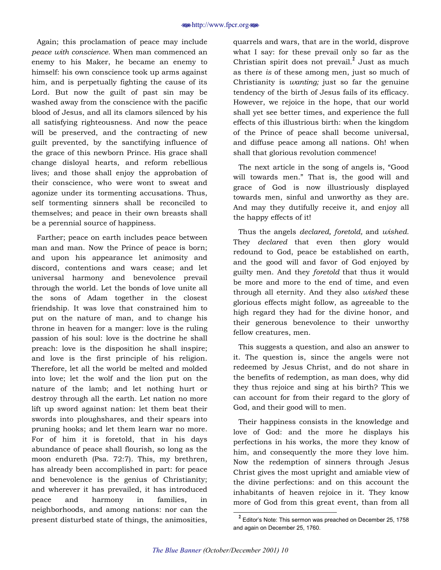Again; this proclamation of peace may include *peace with conscience.* When man commenced an enemy to his Maker, he became an enemy to himself: his own conscience took up arms against him, and is perpetually fighting the cause of its Lord. But now the guilt of past sin may be washed away from the conscience with the pacific blood of Jesus, and all its clamors silenced by his all satisfying righteousness. And now the peace will be preserved, and the contracting of new guilt prevented, by the sanctifying influence of the grace of this newborn Prince. His grace shall change disloyal hearts, and reform rebellious lives; and those shall enjoy the approbation of their conscience, who were wont to sweat and agonize under its tormenting accusations. Thus, self tormenting sinners shall be reconciled to themselves; and peace in their own breasts shall be a perennial source of happiness.

Farther; peace on earth includes peace between man and man. Now the Prince of peace is born; and upon his appearance let animosity and discord, contentions and wars cease; and let universal harmony and benevolence prevail through the world. Let the bonds of love unite all the sons of Adam together in the closest friendship. It was love that constrained him to put on the nature of man, and to change his throne in heaven for a manger: love is the ruling passion of his soul: love is the doctrine he shall preach: love is the disposition he shall inspire; and love is the first principle of his religion. Therefore, let all the world be melted and molded into love; let the wolf and the lion put on the nature of the lamb; and let nothing hurt or destroy through all the earth. Let nation no more lift up sword against nation: let them beat their swords into ploughshares, and their spears into pruning hooks; and let them learn war no more. For of him it is foretold, that in his days abundance of peace shall flourish, so long as the moon endureth (Psa. 72:7). This, my brethren, has already been accomplished in part: for peace and benevolence is the genius of Christianity; and wherever it has prevailed, it has introduced peace and harmony in families, in neighborhoods, and among nations: nor can the present disturbed state of things, the animosities,

quarrels and wars, that are in the world, disprove what I say: for these prevail only so far as the Christian spirit does not prevail.**<sup>2</sup>** Just as much as there *is* of these among men, just so much of Christianity is *wanting;* just so far the genuine tendency of the birth of Jesus fails of its efficacy. However, we rejoice in the hope, that our world shall yet see better times, and experience the full effects of this illustrious birth: when the kingdom of the Prince of peace shall become universal, and diffuse peace among all nations. Oh! when shall that glorious revolution commence!

The next article in the song of angels is, "Good will towards men." That is, the good will and grace of God is now illustriously displayed towards men, sinful and unworthy as they are. And may they dutifully receive it, and enjoy all the happy effects of it!

Thus the angels *declared, foretold,* and *wished.*  They *declared* that even then glory would redound to God, peace be established on earth, and the good will and favor of God enjoyed by guilty men. And they *foretold* that thus it would be more and more to the end of time, and even through all eternity. And they also *wished* these glorious effects might follow, as agreeable to the high regard they had for the divine honor, and their generous benevolence to their unworthy fellow creatures, men.

This suggests a question, and also an answer to it. The question is, since the angels were not redeemed by Jesus Christ, and do not share in the benefits of redemption, as man does, why did they thus rejoice and sing at his birth? This we can account for from their regard to the glory of God, and their good will to men.

Their happiness consists in the knowledge and love of God: and the more he displays his perfections in his works, the more they know of him, and consequently the more they love him. Now the redemption of sinners through Jesus Christ gives the most upright and amiable view of the divine perfections: and on this account the inhabitants of heaven rejoice in it. They know more of God from this great event, than from all

**<sup>2</sup>**<br> **2** Editor's Note: This sermon was preached on December 25, 1758 and again on December 25, 1760.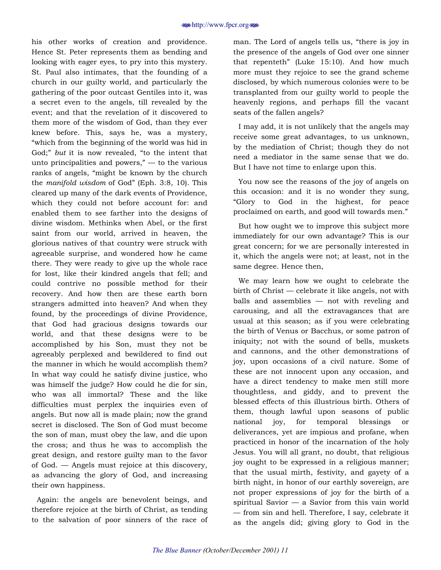his other works of creation and providence. Hence St. Peter represents them as bending and looking with eager eyes, to pry into this mystery. St. Paul also intimates, that the founding of a church in our guilty world, and particularly the gathering of the poor outcast Gentiles into it, was a secret even to the angels, till revealed by the event; and that the revelation of it discovered to them more of the wisdom of God, than they ever knew before. This, says he, was a mystery, "which from the beginning of the world was hid in God;" but it is now revealed, "to the intent that unto principalities and powers,"  $-$  to the various ranks of angels, "might be known by the church" the *manifold wisdom* of God" (Eph. 3:8, 10). This cleared up many of the dark events of Providence, which they could not before account for: and enabled them to see farther into the designs of divine wisdom. Methinks when Abel, or the first saint from our world, arrived in heaven, the glorious natives of that country were struck with agreeable surprise, and wondered how he came there. They were ready to give up the whole race for lost, like their kindred angels that fell; and could contrive no possible method for their recovery. And how then are these earth born strangers admitted into heaven? And when they found, by the proceedings of divine Providence, that God had gracious designs towards our world, and that these designs were to be accomplished by his Son, must they not be agreeably perplexed and bewildered to find out the manner in which he would accomplish them? In what way could he satisfy divine justice, who was himself the judge? How could he die for sin, who was all immortal? These and the like difficulties must perplex the inquiries even of angels. But now all is made plain; now the grand secret is disclosed. The Son of God must become the son of man, must obey the law, and die upon the cross; and thus he was to accomplish the great design, and restore guilty man to the favor of God.  $\sim$  Angels must rejoice at this discovery, as advancing the glory of God, and increasing their own happiness.

Again: the angels are benevolent beings, and therefore rejoice at the birth of Christ, as tending to the salvation of poor sinners of the race of

man. The Lord of angels tells us, "there is joy in the presence of the angels of God over one sinner that repenteth" (Luke  $15:10$ ). And how much more must they rejoice to see the grand scheme disclosed, by which numerous colonies were to be transplanted from our guilty world to people the heavenly regions, and perhaps fill the vacant seats of the fallen angels?

I may add, it is not unlikely that the angels may receive some great advantages, to us unknown, by the mediation of Christ; though they do not need a mediator in the same sense that we do. But I have not time to enlarge upon this.

You now see the reasons of the joy of angels on this occasion: and it is no wonder they sung, ìGlory to God in the highest, for peace proclaimed on earth, and good will towards men."

But how ought we to improve this subject more immediately for our own advantage? This is our great concern; for we are personally interested in it, which the angels were not; at least, not in the same degree. Hence then,

We may learn how we ought to celebrate the birth of Christ  $\sim$  celebrate it like angels, not with balls and assemblies  $-$  not with reveling and carousing, and all the extravagances that are usual at this season; as if you were celebrating the birth of Venus or Bacchus, or some patron of iniquity; not with the sound of bells, muskets and cannons, and the other demonstrations of joy, upon occasions of a civil nature. Some of these are not innocent upon any occasion, and have a direct tendency to make men still more thoughtless, and giddy, and to prevent the blessed effects of this illustrious birth. Others of them, though lawful upon seasons of public national joy, for temporal blessings or deliverances, yet are impious and profane, when practiced in honor of the incarnation of the holy Jesus. You will all grant, no doubt, that religious joy ought to be expressed in a religious manner; that the usual mirth, festivity, and gayety of a birth night, in honor of our earthly sovereign, are not proper expressions of joy for the birth of a spiritual Savior  $-$  a Savior from this vain world - from sin and hell. Therefore, I say, celebrate it as the angels did; giving glory to God in the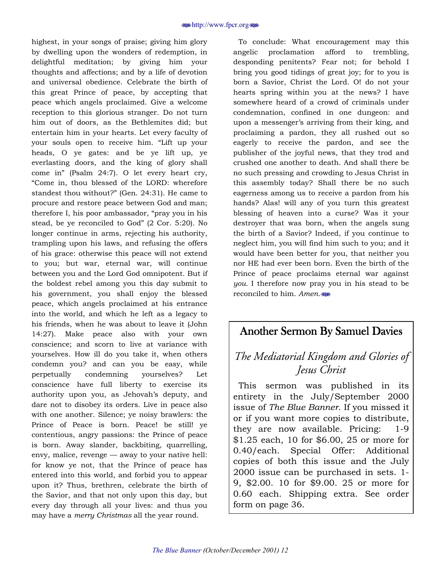<span id="page-11-0"></span>highest, in your songs of praise; giving him glory by dwelling upon the wonders of redemption, in delightful meditation; by giving him your thoughts and affections; and by a life of devotion and universal obedience. Celebrate the birth of this great Prince of peace, by accepting that peace which angels proclaimed. Give a welcome reception to this glorious stranger. Do not turn him out of doors, as the Bethlemites did; but entertain him in your hearts. Let every faculty of your souls open to receive him. "Lift up your heads, O ye gates: and be ye lift up, ye everlasting doors, and the king of glory shall come inî (Psalm 24:7). O let every heart cry, ìCome in, thou blessed of the LORD: wherefore standest thou without?" (Gen. 24:31). He came to procure and restore peace between God and man; therefore I, his poor ambassador, "pray you in his stead, be ye reconciled to God"  $(2 \text{ Cor. } 5:20)$ . No longer continue in arms, rejecting his authority, trampling upon his laws, and refusing the offers of his grace: otherwise this peace will not extend to you; but war, eternal war, will continue between you and the Lord God omnipotent. But if the boldest rebel among you this day submit to his government, you shall enjoy the blessed peace, which angels proclaimed at his entrance into the world, and which he left as a legacy to his friends, when he was about to leave it (John 14:27). Make peace also with your own conscience; and scorn to live at variance with yourselves. How ill do you take it, when others condemn you? and can you be easy, while perpetually condemning yourselves? Let conscience have full liberty to exercise its authority upon you, as Jehovah's deputy, and dare not to disobey its orders. Live in peace also with one another. Silence; ye noisy brawlers: the Prince of Peace is born. Peace! be still! ye contentious, angry passions: the Prince of peace is born. Away slander, backbiting, quarrelling, envy, malice, revenge  $-$  away to your native hell: for know ye not, that the Prince of peace has entered into this world, and forbid you to appear upon it? Thus, brethren, celebrate the birth of the Savior, and that not only upon this day, but every day through all your lives: and thus you may have a *merry Christmas* all the year round.

To conclude: What encouragement may this angelic proclamation afford to trembling, desponding penitents? Fear not; for behold I bring you good tidings of great joy; for to you is born a Savior, Christ the Lord. O! do not your hearts spring within you at the news? I have somewhere heard of a crowd of criminals under condemnation, confined in one dungeon: and upon a messenger's arriving from their king, and proclaiming a pardon, they all rushed out so eagerly to receive the pardon, and see the publisher of the joyful news, that they trod and crushed one another to death. And shall there be no such pressing and crowding to Jesus Christ in this assembly today? Shall there be no such eagerness among us to receive a pardon from his hands? Alas! will any of you turn this greatest blessing of heaven into a curse? Was it your destroyer that was born, when the angels sung the birth of a Savior? Indeed, if you continue to neglect him, you will find him such to you; and it would have been better for you, that neither you nor HE had ever been born. Even the birth of the Prince of peace proclaims eternal war against *you.* I therefore now pray you in his stead to be reconciled to him. *Amen.*j

### Another Sermon By Samuel Davies

### *The Mediatorial Kingdom and Glories of Jesus Christ*

This sermon was published in its entirety in the July/September 2000 issue of *The Blue Banner*. If you missed it or if you want more copies to distribute, they are now available. Pricing: 1-9 \$1.25 each, 10 for \$6.00, 25 or more for 0.40/each. Special Offer: Additional copies of both this issue and the July 2000 issue can be purchased in sets. 1- 9, \$2.00. 10 for \$9.00. 25 or more for 0.60 each. Shipping extra. See order form on page 36.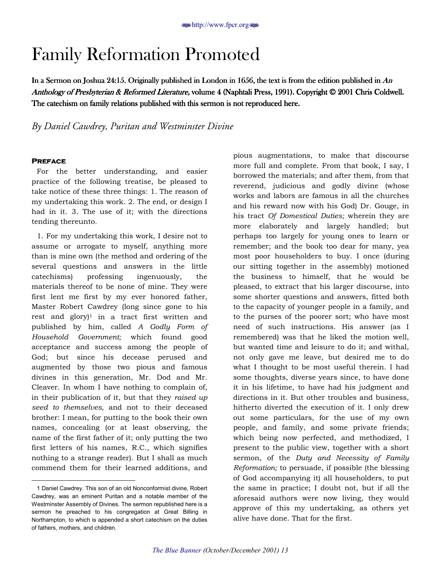# <span id="page-12-0"></span>Family Reformation Promoted

In a Sermon on Joshua 24:15. Originally published in London in 1656, the text is from the edition published in  $An$ Anthology of Presbyterian & Reformed Literature, volume 4 (Naphtali Press, 1991). Copyright © 2001 Chris Coldwell. The catechism on family relations published with this sermon is not reproduced here.

*By Daniel Cawdrey, Puritan and Westminster Divine* 

#### **Preface Preface**

 $\overline{\phantom{a}}$ 

For the better understanding, and easier practice of the following treatise, be pleased to take notice of these three things: 1. The reason of my undertaking this work. 2. The end, or design I had in it. 3. The use of it; with the directions tending thereunto.

1. For my undertaking this work, I desire not to assume or arrogate to myself, anything more than is mine own (the method and ordering of the several questions and answers in the little catechisms) professing ingenuously, the materials thereof to be none of mine. They were first lent me first by my ever honored father, Master Robert Cawdrey (long since gone to his rest and glory)<sup>1</sup> in a tract first written and published by him, called *A Godly Form of Household Government;* which found good acceptance and success among the people of God; but since his decease perused and augmented by those two pious and famous divines in this generation, Mr. Dod and Mr. Cleaver. In whom I have nothing to complain of, in their publication of it, but that they *raised up seed to themselves,* and not to their deceased brother: I mean, for putting to the book their own names, concealing (or at least observing, the name of the first father of it; only putting the two first letters of his names, R.C., which signifies nothing to a strange reader). But I shall as much commend them for their learned additions, and

pious augmentations, to make that discourse more full and complete. From that book, I say, I borrowed the materials; and after them, from that reverend, judicious and godly divine (whose works and labors are famous in all the churches and his reward now with his God) Dr. Gouge, in his tract *Of Domestical Duties;* wherein they are more elaborately and largely handled; but perhaps too largely for young ones to learn or remember; and the book too dear for many, yea most poor householders to buy. I once (during our sitting together in the assembly) motioned the business to himself, that he would be pleased, to extract that his larger discourse, into some shorter questions and answers, fitted both to the capacity of younger people in a family, and to the purses of the poorer sort; who have most need of such instructions. His answer (as I remembered) was that he liked the motion well, but wanted time and leisure to do it; and withal, not only gave me leave, but desired me to do what I thought to be most useful therein. I had some thoughts, diverse years since, to have done it in his lifetime, to have had his judgment and directions in it. But other troubles and business, hitherto diverted the execution of it. I only drew out some particulars, for the use of my own people, and family, and some private friends; which being now perfected, and methodized, I present to the public view, together with a short sermon, of the *Duty and Necessity of Family Reformation;* to persuade, if possible (the blessing of God accompanying it) all householders, to put the same in practice; I doubt not, but if all the aforesaid authors were now living, they would approve of this my undertaking, as others yet alive have done. That for the first.

<sup>1</sup> Daniel Cawdrey. This son of an old Nonconformist divine, Robert Cawdrey, was an eminent Puritan and a notable member of the Westminster Assembly of Divines. The sermon republished here is a sermon he preached to his congregation at Great Billing in Northampton, to which is appended a short catechism on the duties of fathers, mothers, and children.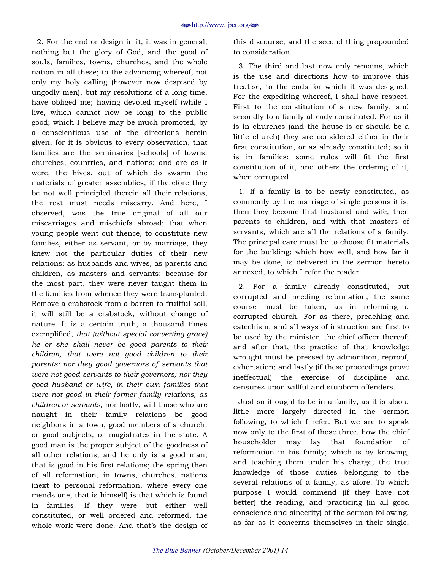2. For the end or design in it, it was in general, nothing but the glory of God, and the good of souls, families, towns, churches, and the whole nation in all these; to the advancing whereof, not only my holy calling (however now despised by ungodly men), but my resolutions of a long time, have obliged me; having devoted myself (while I live, which cannot now be long) to the public good; which I believe may be much promoted, by a conscientious use of the directions herein given, for it is obvious to every observation, that families are the seminaries [schools] of towns, churches, countries, and nations; and are as it were, the hives, out of which do swarm the materials of greater assemblies; if therefore they be not well principled therein all their relations, the rest must needs miscarry. And here, I observed, was the true original of all our miscarriages and mischiefs abroad; that when young people went out thence, to constitute new families, either as servant, or by marriage, they knew not the particular duties of their new relations; as husbands and wives, as parents and children, as masters and servants; because for the most part, they were never taught them in the families from whence they were transplanted. Remove a crabstock from a barren to fruitful soil, it will still be a crabstock, without change of nature. It is a certain truth, a thousand times exemplified, *that (without special converting grace) he or she shall never be good parents to their children, that were not good children to their parents; nor they good governors of servants that were not good servants to their governors; nor they good husband or wife, in their own families that were not good in their former family relations, as children or servants;* nor lastly, will those who are naught in their family relations be good neighbors in a town, good members of a church, or good subjects, or magistrates in the state. A good man is the proper subject of the goodness of all other relations; and he only is a good man, that is good in his first relations; the spring then of all reformation, in towns, churches, nations (next to personal reformation, where every one mends one, that is himself) is that which is found in families. If they were but either well constituted, or well ordered and reformed, the whole work were done. And that's the design of

this discourse, and the second thing propounded to consideration.

3. The third and last now only remains, which is the use and directions how to improve this treatise, to the ends for which it was designed. For the expediting whereof, I shall have respect. First to the constitution of a new family; and secondly to a family already constituted. For as it is in churches (and the house is or should be a little church) they are considered either in their first constitution, or as already constituted; so it is in families; some rules will fit the first constitution of it, and others the ordering of it, when corrupted.

1. If a family is to be newly constituted, as commonly by the marriage of single persons it is, then they become first husband and wife, then parents to children, and with that masters of servants, which are all the relations of a family. The principal care must be to choose fit materials for the building; which how well, and how far it may be done, is delivered in the sermon hereto annexed, to which I refer the reader.

2. For a family already constituted, but corrupted and needing reformation, the same course must be taken, as in reforming a corrupted church. For as there, preaching and catechism, and all ways of instruction are first to be used by the minister, the chief officer thereof; and after that, the practice of that knowledge wrought must be pressed by admonition, reproof, exhortation; and lastly (if these proceedings prove ineffectual) the exercise of discipline and censures upon willful and stubborn offenders.

Just so it ought to be in a family, as it is also a little more largely directed in the sermon following, to which I refer. But we are to speak now only to the first of those three, how the chief householder may lay that foundation of reformation in his family; which is by knowing, and teaching them under his charge, the true knowledge of those duties belonging to the several relations of a family, as afore. To which purpose I would commend (if they have not better) the reading, and practicing (in all good conscience and sincerity) of the sermon following, as far as it concerns themselves in their single,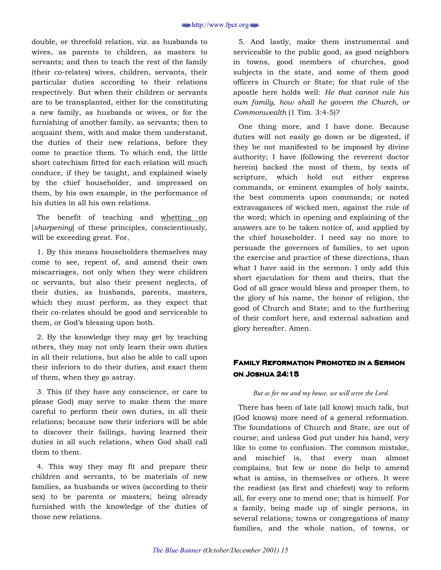double, or threefold relation, viz. as husbands to wives, as parents to children, as masters to servants; and then to teach the rest of the family (their co-relates) wives, children, servants, their particular duties according to their relations respectively. But when their children or servants are to be transplanted, either for the constituting a new family, as husbands or wives, or for the furnishing of another family, as servants; then to acquaint them, with and make them understand, the duties of their new relations, before they come to practice them. To which end, the little short catechism fitted for each relation will much conduce, if they be taught, and explained wisely by the chief householder, and impressed on them, by his own example, in the performance of his duties in all his own relations.

The benefit of teaching and whetting on [*sharpening*] of these principles, conscientiously, will be exceeding great. For,

1. By this means householders themselves may come to see, repent of, and amend their own miscarriages, not only when they were children or servants, but also their present neglects, of their duties, as husbands, parents, masters, which they must perform, as they expect that their co-relates should be good and serviceable to them, or God's blessing upon both.

2. By the knowledge they may get by teaching others, they may not only learn their own duties in all their relations, but also be able to call upon their inferiors to do their duties, and exact them of them, when they go astray.

3. This (if they have any conscience, or care to please God) may serve to make them the more careful to perform their own duties, in all their relations; because now their inferiors will be able to discover their failings, having learned their duties in all such relations, when God shall call them to them.

4. This way they may fit and prepare their children and servants, to be materials of new families, as husbands or wives (according to their sex) to be parents or masters; being already furnished with the knowledge of the duties of those new relations.

5. And lastly, make them instrumental and serviceable to the public good, as good neighbors in towns, good members of churches, good subjects in the state, and some of them good officers in Church or State; for that rule of the apostle here holds well: *He that cannot rule his own family, how shall he govern the Church, or Commonwealth* (1 Tim. 3:4-5)?

One thing more, and I have done. Because duties will not easily go down or be digested, if they be not manifested to be imposed by divine authority; I have (following the reverent doctor herein) backed the most of them, by texts of scripture, which hold out either express commands, or eminent examples of holy saints, the best comments upon commands; or noted extravagances of wicked men, against the rule of the word; which in opening and explaining of the answers are to be taken notice of, and applied by the chief householder. I need say no more to persuade the governors of families, to set upon the exercise and practice of these directions, than what I have said in the sermon. I only add this short ejaculation for them and theirs, that the God of all grace would bless and prosper them, to the glory of his name, the honor of religion, the good of Church and State; and to the furthering of their comfort here, and external salvation and glory hereafter. Amen.

### **FAMILY REFORMATION PROMOTED IN A SERMON on Joshua 24:15**

### *But as for me and my house, we will serve the Lord.*

There has been of late (all know) much talk, but (God knows) more need of a general reformation. The foundations of Church and State, are out of course; and unless God put under his hand, very like to come to confusion. The common mistake, and mischief is, that every man almost complains, but few or none do help to amend what is amiss, in themselves or others. It were the readiest (as first and chiefest) way to reform all, for every one to mend one; that is himself. For a family, being made up of single persons, in several relations; towns or congregations of many families, and the whole nation, of towns, or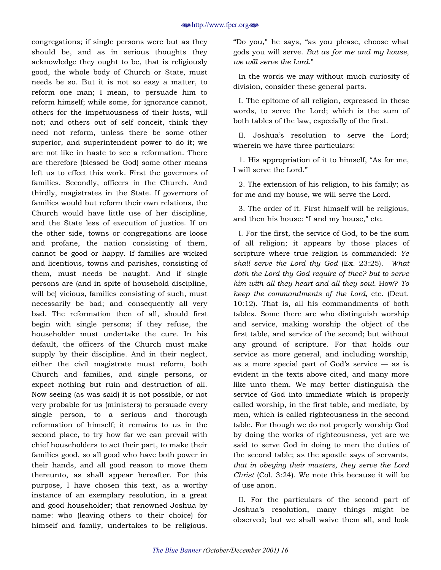#### j<http://www.fpcr.org>j

congregations; if single persons were but as they should be, and as in serious thoughts they acknowledge they ought to be, that is religiously good, the whole body of Church or State, must needs be so. But it is not so easy a matter, to reform one man; I mean, to persuade him to reform himself; while some, for ignorance cannot, others for the impetuousness of their lusts, will not; and others out of self conceit, think they need not reform, unless there be some other superior, and superintendent power to do it; we are not like in haste to see a reformation. There are therefore (blessed be God) some other means left us to effect this work. First the governors of families. Secondly, officers in the Church. And thirdly, magistrates in the State. If governors of families would but reform their own relations, the Church would have little use of her discipline, and the State less of execution of justice. If on the other side, towns or congregations are loose and profane, the nation consisting of them, cannot be good or happy. If families are wicked and licentious, towns and parishes, consisting of them, must needs be naught. And if single persons are (and in spite of household discipline, will be) vicious, families consisting of such, must necessarily be bad; and consequently all very bad. The reformation then of all, should first begin with single persons; if they refuse, the householder must undertake the cure. In his default, the officers of the Church must make supply by their discipline. And in their neglect, either the civil magistrate must reform, both Church and families, and single persons, or expect nothing but ruin and destruction of all. Now seeing (as was said) it is not possible, or not very probable for us (ministers) to persuade every single person, to a serious and thorough reformation of himself; it remains to us in the second place, to try how far we can prevail with chief householders to act their part, to make their families good, so all good who have both power in their hands, and all good reason to move them thereunto, as shall appear hereafter. For this purpose, I have chosen this text, as a worthy instance of an exemplary resolution, in a great and good householder; that renowned Joshua by name: who (leaving others to their choice) for himself and family, undertakes to be religious.

"Do you," he says, "as you please, choose what gods you will serve. *But as for me and my house, we will serve the Lord.*"

In the words we may without much curiosity of division, consider these general parts.

I. The epitome of all religion, expressed in these words, to serve the Lord; which is the sum of both tables of the law, especially of the first.

II. Joshuaís resolution to serve the Lord; wherein we have three particulars:

1. His appropriation of it to himself, "As for me, I will serve the Lord."

2. The extension of his religion, to his family; as for me and my house, we will serve the Lord.

3. The order of it. First himself will be religious, and then his house: "I and my house," etc.

I. For the first, the service of God, to be the sum of all religion; it appears by those places of scripture where true religion is commanded: *Ye shall serve the Lord thy God* (Ex. 23:25). *What doth the Lord thy God require of thee? but to serve him with all they heart and all they soul.* How? *To keep the commandments of the Lord,* etc. (Deut. 10:12). That is, all his commandments of both tables. Some there are who distinguish worship and service, making worship the object of the first table, and service of the second; but without any ground of scripture. For that holds our service as more general, and including worship, as a more special part of God's service  $-$  as is evident in the texts above cited, and many more like unto them. We may better distinguish the service of God into immediate which is properly called worship, in the first table, and mediate, by men, which is called righteousness in the second table. For though we do not properly worship God by doing the works of righteousness, yet are we said to serve God in doing to men the duties of the second table; as the apostle says of servants, *that in obeying their masters, they serve the Lord Christ* (Col. 3:24). We note this because it will be of use anon.

II. For the particulars of the second part of Joshuaís resolution, many things might be observed; but we shall waive them all, and look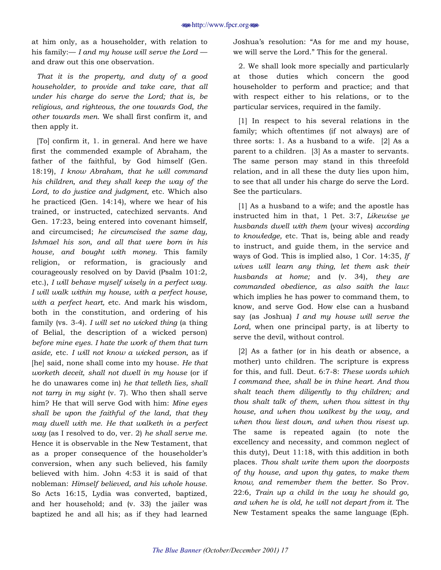at him only, as a householder, with relation to his family:— *I and my house will serve the Lord* and draw out this one observation.

*That it is the property, and duty of a good householder, to provide and take care, that all under his charge do serve the Lord; that is, be religious, and righteous, the one towards God, the other towards men.* We shall first confirm it, and then apply it.

[To] confirm it, 1. in general. And here we have first the commended example of Abraham, the father of the faithful, by God himself (Gen. 18:19), *I know Abraham, that he will command his children, and they shall keep the way of the Lord, to do justice and judgment,* etc. Which also he practiced (Gen. 14:14), where we hear of his trained, or instructed, catechized servants. And Gen. 17:23, being entered into covenant himself, and circumcised; *he circumcised the same day, Ishmael his son, and all that were born in his house, and bought with money.* This family religion, or reformation, is graciously and courageously resolved on by David (Psalm 101:2, etc.), *I will behave myself wisely in a perfect way. I will walk within my house, with a perfect house, with a perfect heart,* etc. And mark his wisdom, both in the constitution, and ordering of his family (vs. 3-4). *I will set no wicked thing* (a thing of Belial, the description of a wicked person) *before mine eyes. I hate the work of them that turn aside,* etc. *I will not know a wicked person,* as if [he] said, none shall come into my house. *He that worketh deceit, shall not dwell in my house* (or if he do unawares come in) *he that telleth lies, shall not tarry in my sight* (v. 7). Who then shall serve him? He that will serve God with him: *Mine eyes shall be upon the faithful of the land, that they may dwell with me. He that walketh in a perfect way* (as I resolved to do, ver. 2) *he shall serve me.* Hence it is observable in the New Testament, that as a proper consequence of the householder's conversion, when any such believed, his family believed with him. John 4:53 it is said of that nobleman: *Himself believed, and his whole house.* So Acts 16:15, Lydia was converted, baptized, and her household; and (v. 33) the jailer was baptized he and all his; as if they had learned

Joshua's resolution: "As for me and my house, we will serve the Lord." This for the general.

2. We shall look more specially and particularly at those duties which concern the good householder to perform and practice; and that with respect either to his relations, or to the particular services, required in the family.

[1] In respect to his several relations in the family; which oftentimes (if not always) are of three sorts: 1. As a husband to a wife. [2] As a parent to a children. [3] As a master to servants. The same person may stand in this threefold relation, and in all these the duty lies upon him, to see that all under his charge do serve the Lord. See the particulars.

[1] As a husband to a wife; and the apostle has instructed him in that, 1 Pet. 3:7, *Likewise ye husbands dwell with them* (your wives) *according to knowledge,* etc. That is, being able and ready to instruct, and guide them, in the service and ways of God. This is implied also, 1 Cor. 14:35, *If wives will learn any thing, let them ask their husbands at home;* and (v. 34), *they are commanded obedience, as also saith the law:* which implies he has power to command them, to know, and serve God. How else can a husband say (as Joshua) *I and my house will serve the Lord,* when one principal party, is at liberty to serve the devil, without control.

[2] As a father (or in his death or absence, a mother) unto children. The scripture is express for this, and full. Deut. 6:7-8: *These words which I command thee, shall be in thine heart. And thou shalt teach them diligently to thy children; and thou shalt talk of them, when thou sittest in thy house, and when thou walkest by the way, and when thou liest down, and when thou risest up.* The same is repeated again (to note the excellency and necessity, and common neglect of this duty), Deut 11:18, with this addition in both places. *Thou shalt write them upon the doorposts of thy house, and upon thy gates, to make them know, and remember them the better.* So Prov. 22:6, *Train up a child in the way he should go, and when he is old, he will not depart from it.* The New Testament speaks the same language (Eph.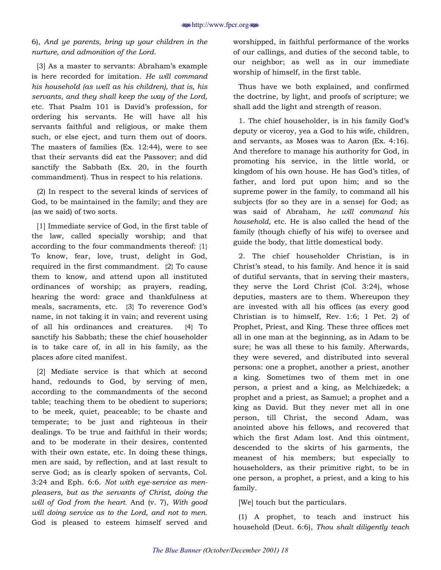### 6), *And ye parents, bring up your children in the nurture, and admonition of the Lord.*

[3] As a master to servants: Abraham's example is here recorded for imitation. *He will command his household (as well as his children), that is, his servants, and they shall keep the way of the Lord,*  etc. That Psalm 101 is David's profession, for ordering his servants. He will have all his servants faithful and religious, or make them such, or else eject, and turn them out of doors. The masters of families (Ex. 12:44), were to see that their servants did eat the Passover; and did sanctify the Sabbath (Ex. 20, in the fourth commandment). Thus in respect to his relations.

(2) In respect to the several kinds of services of God, to be maintained in the family; and they are (as we said) of two sorts.

[1] Immediate service of God, in the first table of the law, called specially worship; and that according to the four commandments thereof: {1} To know, fear, love, trust, delight in God, required in the first commandment. {2} To cause them to know, and attend upon all instituted ordinances of worship; as prayers, reading, hearing the word: grace and thankfulness at meals, sacraments, etc. {3} To reverence God's name, in not taking it in vain; and reverent using of all his ordinances and creatures. {4} To sanctify his Sabbath; these the chief householder is to take care of, in all in his family, as the places afore cited manifest.

[2] Mediate service is that which at second hand, redounds to God, by serving of men, according to the commandments of the second table; teaching them to be obedient to superiors; to be meek, quiet, peaceable; to be chaste and temperate; to be just and righteous in their dealings. To be true and faithful in their words; and to be moderate in their desires, contented with their own estate, etc. In doing these things, men are said, by reflection, and at last result to serve God; as is clearly spoken of servants, Col. 3:24 and Eph. 6:6. *Not with eye-service as menpleasers, but as the servants of Christ, doing the will of God from the heart.* And (v. 7), *With good will doing service as to the Lord, and not to men.* God is pleased to esteem himself served and worshipped, in faithful performance of the works of our callings, and duties of the second table, to our neighbor; as well as in our immediate worship of himself, in the first table.

Thus have we both explained, and confirmed the doctrine, by light, and proofs of scripture; we shall add the light and strength of reason.

1. The chief householder, is in his family Godís deputy or viceroy, yea a God to his wife, children, and servants, as Moses was to Aaron (Ex. 4:16). And therefore to manage his authority for God, in promoting his service, in the little world, or kingdom of his own house. He has God's titles, of father, and lord put upon him; and so the supreme power in the family, to command all his subjects (for so they are in a sense) for God; as was said of Abraham, *he will command his household,* etc. He is also called the head of the family (though chiefly of his wife) to oversee and guide the body, that little domestical body.

2. The chief householder Christian, is in Christ's stead, to his family. And hence it is said of dutiful servants, that in serving their masters, they serve the Lord Christ (Col. 3:24), whose deputies, masters are to them. Whereupon they are invested with all his offices (as every good Christian is to himself, Rev. 1:6; 1 Pet. 2) of Prophet, Priest, and King. These three offices met all in one man at the beginning, as in Adam to be sure; he was all these to his family. Afterwards, they were severed, and distributed into several persons: one a prophet, another a priest, another a king. Sometimes two of them met in one person, a priest and a king, as Melchizedek; a prophet and a priest, as Samuel; a prophet and a king as David. But they never met all in one person, till Christ, the second Adam, was anointed above his fellows, and recovered that which the first Adam lost. And this ointment, descended to the skirts of his garments, the meanest of his members; but especially to householders, as their primitive right, to be in one person, a prophet, a priest, and a king to his family.

[We] touch but the particulars.

(1) A prophet, to teach and instruct his household (Deut. 6:6), *Thou shalt diligently teach*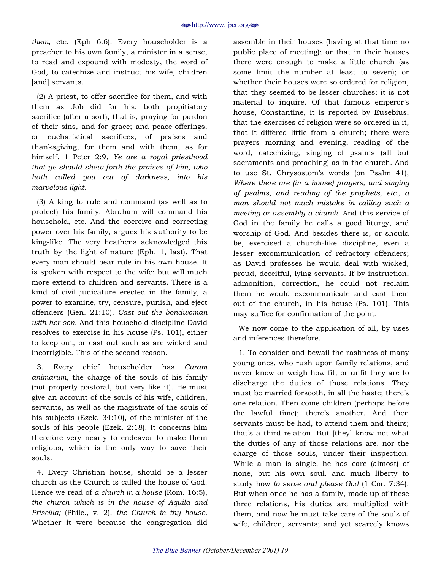*them,* etc. (Eph 6:6). Every householder is a preacher to his own family, a minister in a sense, to read and expound with modesty, the word of God, to catechize and instruct his wife, children [and] servants.

(2) A priest, to offer sacrifice for them, and with them as Job did for his: both propitiatory sacrifice (after a sort), that is, praying for pardon of their sins, and for grace; and peace-offerings, or eucharistical sacrifices, of praises and thanksgiving, for them and with them, as for himself. 1 Peter 2:9, *Ye are a royal priesthood that ye should shew forth the praises of him, who hath called you out of darkness, into his marvelous light.*

(3) A king to rule and command (as well as to protect) his family. Abraham will command his household, etc. And the coercive and correcting power over his family, argues his authority to be king-like. The very heathens acknowledged this truth by the light of nature (Eph. 1, last). That every man should bear rule in his own house. It is spoken with respect to the wife; but will much more extend to children and servants. There is a kind of civil judicature erected in the family, a power to examine, try, censure, punish, and eject offenders (Gen. 21:10). *Cast out the bondwoman with her son.* And this household discipline David resolves to exercise in his house (Ps. 101), either to keep out, or cast out such as are wicked and incorrigible. This of the second reason.

3. Every chief householder has *Curam animarum,* the charge of the souls of his family (not properly pastoral, but very like it). He must give an account of the souls of his wife, children, servants, as well as the magistrate of the souls of his subjects (Ezek. 34:10), of the minister of the souls of his people (Ezek. 2:18). It concerns him therefore very nearly to endeavor to make them religious, which is the only way to save their souls.

4. Every Christian house, should be a lesser church as the Church is called the house of God. Hence we read of *a church in a house* (Rom. 16:5), *the church which is in the house of Aquila and Priscilla;* (Phile., v. 2), *the Church in thy house.* Whether it were because the congregation did

assemble in their houses (having at that time no public place of meeting); or that in their houses there were enough to make a little church (as some limit the number at least to seven); or whether their houses were so ordered for religion, that they seemed to be lesser churches; it is not material to inquire. Of that famous emperor's house, Constantine, it is reported by Eusebius, that the exercises of religion were so ordered in it, that it differed little from a church; there were prayers morning and evening, reading of the word, catechizing, singing of psalms (all but sacraments and preaching) as in the church. And to use St. Chrysostom's words (on Psalm 41), *Where there are (in a house) prayers, and singing of psalms, and reading of the prophets, etc., a man should not much mistake in calling such a meeting or assembly a church.* And this service of God in the family he calls a good liturgy, and worship of God. And besides there is, or should be, exercised a church-like discipline, even a lesser excommunication of refractory offenders; as David professes he would deal with wicked, proud, deceitful, lying servants. If by instruction, admonition, correction, he could not reclaim them he would excommunicate and cast them out of the church, in his house (Ps. 101). This may suffice for confirmation of the point.

We now come to the application of all, by uses and inferences therefore.

1. To consider and bewail the rashness of many young ones, who rush upon family relations, and never know or weigh how fit, or unfit they are to discharge the duties of those relations. They must be married forsooth, in all the haste; there's one relation. Then come children (perhaps before the lawful time); there's another. And then servants must be had, to attend them and theirs; that's a third relation. But [they] know not what the duties of any of those relations are, nor the charge of those souls, under their inspection. While a man is single, he has care (almost) of none, but his own soul. and much liberty to study how *to serve and please God* (1 Cor. 7:34). But when once he has a family, made up of these three relations, his duties are multiplied with them, and now he must take care of the souls of wife, children, servants; and yet scarcely knows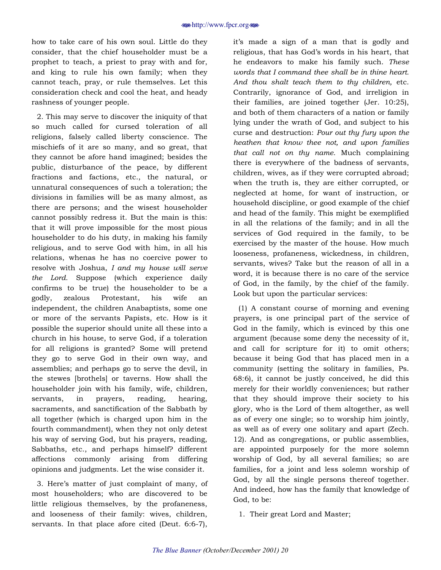how to take care of his own soul. Little do they consider, that the chief householder must be a prophet to teach, a priest to pray with and for, and king to rule his own family; when they cannot teach, pray, or rule themselves. Let this consideration check and cool the heat, and heady rashness of younger people.

2. This may serve to discover the iniquity of that so much called for cursed toleration of all religions, falsely called liberty conscience. The mischiefs of it are so many, and so great, that they cannot be afore hand imagined; besides the public, disturbance of the peace, by different fractions and factions, etc., the natural, or unnatural consequences of such a toleration; the divisions in families will be as many almost, as there are persons; and the wisest householder cannot possibly redress it. But the main is this: that it will prove impossible for the most pious householder to do his duty, in making his family religious, and to serve God with him, in all his relations, whenas he has no coercive power to resolve with Joshua, *I and my house will serve the Lord.* Suppose (which experience daily confirms to be true) the householder to be a godly, zealous Protestant, his wife an independent, the children Anabaptists, some one or more of the servants Papists, etc. How is it possible the superior should unite all these into a church in his house, to serve God, if a toleration for all religions is granted? Some will pretend they go to serve God in their own way, and assemblies; and perhaps go to serve the devil, in the stewes [brothels] or taverns. How shall the householder join with his family, wife, children, servants, in prayers, reading, hearing, sacraments, and sanctification of the Sabbath by all together (which is charged upon him in the fourth commandment), when they not only detest his way of serving God, but his prayers, reading, Sabbaths, etc., and perhaps himself? different affections commonly arising from differing opinions and judgments. Let the wise consider it.

3. Hereís matter of just complaint of many, of most householders; who are discovered to be little religious themselves, by the profaneness, and looseness of their family: wives, children, servants. In that place afore cited (Deut. 6:6-7),

itís made a sign of a man that is godly and religious, that has God's words in his heart, that he endeavors to make his family such. *These words that I command thee shall be in thine heart. And thou shalt teach them to thy children,* etc. Contrarily, ignorance of God, and irreligion in their families, are joined together (Jer. 10:25), and both of them characters of a nation or family lying under the wrath of God, and subject to his curse and destruction: *Pour out thy fury upon the heathen that know thee not, and upon families that call not on thy name.* Much complaining there is everywhere of the badness of servants, children, wives, as if they were corrupted abroad; when the truth is, they are either corrupted, or neglected at home, for want of instruction, or household discipline, or good example of the chief and head of the family. This might be exemplified in all the relations of the family; and in all the services of God required in the family, to be exercised by the master of the house. How much looseness, profaneness, wickedness, in children, servants, wives? Take but the reason of all in a word, it is because there is no care of the service of God, in the family, by the chief of the family. Look but upon the particular services:

(1) A constant course of morning and evening prayers, is one principal part of the service of God in the family, which is evinced by this one argument (because some deny the necessity of it, and call for scripture for it) to omit others; because it being God that has placed men in a community (setting the solitary in families, Ps. 68:6), it cannot be justly conceived, he did this merely for their worldly conveniences; but rather that they should improve their society to his glory, who is the Lord of them altogether, as well as of every one single; so to worship him jointly, as well as of every one solitary and apart (Zech. 12). And as congregations, or public assemblies, are appointed purposely for the more solemn worship of God, by all several families; so are families, for a joint and less solemn worship of God, by all the single persons thereof together. And indeed, how has the family that knowledge of God, to be:

1. Their great Lord and Master;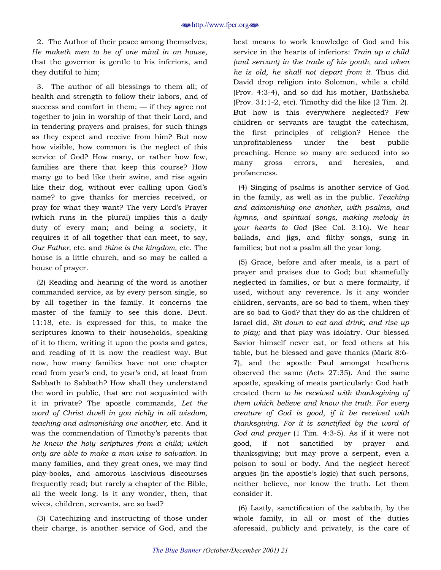2. The Author of their peace among themselves; *He maketh men to be of one mind in an house,* that the governor is gentle to his inferiors, and they dutiful to him;

3. The author of all blessings to them all; of health and strength to follow their labors, and of success and comfort in them;  $-$  if they agree not together to join in worship of that their Lord, and in tendering prayers and praises, for such things as they expect and receive from him? But now how visible, how common is the neglect of this service of God? How many, or rather how few, families are there that keep this course? How many go to bed like their swine, and rise again like their dog, without ever calling upon God's name? to give thanks for mercies received, or pray for what they want? The very Lord's Prayer (which runs in the plural) implies this a daily duty of every man; and being a society, it requires it of all together that can meet, to say, *Our Father,* etc. and *thine is the kingdom,* etc. The house is a little church, and so may be called a house of prayer.

(2) Reading and hearing of the word is another commanded service, as by every person single, so by all together in the family. It concerns the master of the family to see this done. Deut. 11:18, etc. is expressed for this, to make the scriptures known to their households, speaking of it to them, writing it upon the posts and gates, and reading of it is now the readiest way. But now, how many families have not one chapter read from year's end, to year's end, at least from Sabbath to Sabbath? How shall they understand the word in public, that are not acquainted with it in private? The apostle commands, *Let the word of Christ dwell in you richly in all wisdom, teaching and admonishing one another,* etc. And it was the commendation of Timothy's parents that *he knew the holy scriptures from a child; which only are able to make a man wise to salvation.* In many families, and they great ones, we may find play-books, and amorous lascivious discourses frequently read; but rarely a chapter of the Bible, all the week long. Is it any wonder, then, that wives, children, servants, are so bad?

(3) Catechizing and instructing of those under their charge, is another service of God, and the best means to work knowledge of God and his service in the hearts of inferiors: *Train up a child (and servant) in the trade of his youth, and when he is old, he shall not depart from it.* Thus did David drop religion into Solomon, while a child (Prov. 4:3-4), and so did his mother, Bathsheba (Prov. 31:1-2, etc). Timothy did the like (2 Tim. 2). But how is this everywhere neglected? Few children or servants are taught the catechism, the first principles of religion? Hence the unprofitableness under the best public preaching. Hence so many are seduced into so many gross errors, and heresies, and profaneness.

(4) Singing of psalms is another service of God in the family, as well as in the public. *Teaching and admonishing one another, with psalms, and hymns, and spiritual songs, making melody in your hearts to God* (See Col. 3:16). We hear ballads, and jigs, and filthy songs, sung in families; but not a psalm all the year long.

(5) Grace, before and after meals, is a part of prayer and praises due to God; but shamefully neglected in families, or but a mere formality, if used, without any reverence. Is it any wonder children, servants, are so bad to them, when they are so bad to God? that they do as the children of Israel did, *Sit down to eat and drink, and rise up to play;* and that play was idolatry. Our blessed Savior himself never eat, or feed others at his table, but he blessed and gave thanks (Mark 8:6- 7), and the apostle Paul amongst heathens observed the same (Acts 27:35). And the same apostle, speaking of meats particularly: God hath created them *to be received with thanksgiving of them which believe and know the truth. For every creature of God is good, if it be received with thanksgiving. For it is sanctified by the word of God and prayer* (1 Tim. 4:3-5). As if it were not good, if not sanctified by prayer and thanksgiving; but may prove a serpent, even a poison to soul or body. And the neglect hereof argues (in the apostle's logic) that such persons, neither believe, nor know the truth. Let them consider it.

(6) Lastly, sanctification of the sabbath, by the whole family, in all or most of the duties aforesaid, publicly and privately, is the care of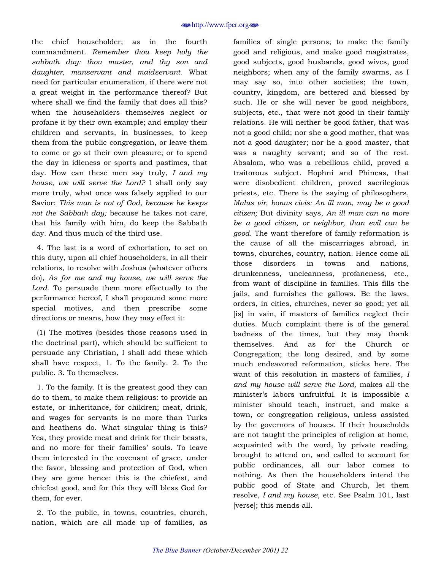the chief householder; as in the fourth commandment. *Remember thou keep holy the sabbath day: thou master, and thy son and daughter, manservant and maidservant.* What need for particular enumeration, if there were not a great weight in the performance thereof? But where shall we find the family that does all this? when the householders themselves neglect or profane it by their own example; and employ their children and servants, in businesses, to keep them from the public congregation, or leave them to come or go at their own pleasure; or to spend the day in idleness or sports and pastimes, that day. How can these men say truly, *I and my house, we will serve the Lord?* I shall only say more truly, what once was falsely applied to our Savior: *This man is not of God, because he keeps not the Sabbath day;* because he takes not care, that his family with him, do keep the Sabbath day. And thus much of the third use.

4. The last is a word of exhortation, to set on this duty, upon all chief householders, in all their relations, to resolve with Joshua (whatever others do), *As for me and my house, we will serve the Lord.* To persuade them more effectually to the performance hereof, I shall propound some more special motives, and then prescribe some directions or means, how they may effect it:

(1) The motives (besides those reasons used in the doctrinal part), which should be sufficient to persuade any Christian, I shall add these which shall have respect, 1. To the family. 2. To the public. 3. To themselves.

1. To the family. It is the greatest good they can do to them, to make them religious: to provide an estate, or inheritance, for children; meat, drink, and wages for servants is no more than Turks and heathens do. What singular thing is this? Yea, they provide meat and drink for their beasts, and no more for their families' souls. To leave them interested in the covenant of grace, under the favor, blessing and protection of God, when they are gone hence: this is the chiefest, and chiefest good, and for this they will bless God for them, for ever.

2. To the public, in towns, countries, church, nation, which are all made up of families, as

families of single persons; to make the family good and religious, and make good magistrates, good subjects, good husbands, good wives, good neighbors; when any of the family swarms, as I may say so, into other societies; the town, country, kingdom, are bettered and blessed by such. He or she will never be good neighbors, subjects, etc., that were not good in their family relations. He will neither be good father, that was not a good child; nor she a good mother, that was not a good daughter; nor he a good master, that was a naughty servant; and so of the rest. Absalom, who was a rebellious child, proved a traitorous subject. Hophni and Phineas, that were disobedient children, proved sacrilegious priests, etc. There is the saying of philosophers, *Malus vir, bonus civis: An ill man, may be a good citizen;* But divinity says, *An ill man can no more be a good citizen, or neighbor, than evil can be good.* The want therefore of family reformation is the cause of all the miscarriages abroad, in towns, churches, country, nation. Hence come all those disorders in towns and nations, drunkenness, uncleanness, profaneness, etc., from want of discipline in families. This fills the jails, and furnishes the gallows. Be the laws, orders, in cities, churches, never so good; yet all [is] in vain, if masters of families neglect their duties. Much complaint there is of the general badness of the times, but they may thank themselves. And as for the Church or Congregation; the long desired, and by some much endeavored reformation, sticks here. The want of this resolution in masters of families, *I and my house will serve the Lord,* makes all the ministerís labors unfruitful. It is impossible a minister should teach, instruct, and make a town, or congregation religious, unless assisted by the governors of houses. If their households are not taught the principles of religion at home, acquainted with the word, by private reading, brought to attend on, and called to account for public ordinances, all our labor comes to nothing. As then the householders intend the public good of State and Church, let them resolve*, I and my house*, etc. See Psalm 101, last [verse]; this mends all.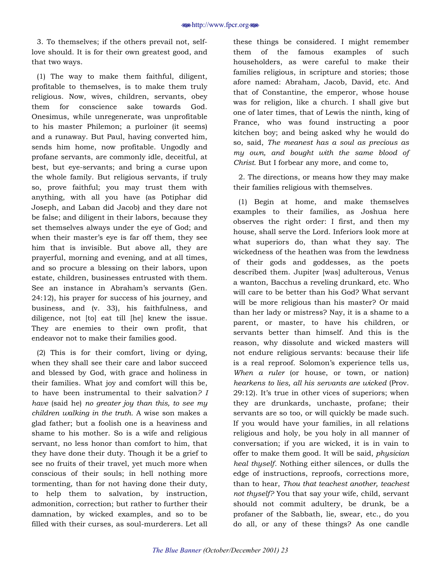3. To themselves; if the others prevail not, selflove should. It is for their own greatest good, and that two ways.

(1) The way to make them faithful, diligent, profitable to themselves, is to make them truly religious. Now, wives, children, servants, obey them for conscience sake towards God. Onesimus, while unregenerate, was unprofitable to his master Philemon; a purloiner (it seems) and a runaway. But Paul, having converted him, sends him home, now profitable. Ungodly and profane servants, are commonly idle, deceitful, at best, but eye-servants; and bring a curse upon the whole family. But religious servants, if truly so, prove faithful; you may trust them with anything, with all you have (as Potiphar did Joseph, and Laban did Jacob) and they dare not be false; and diligent in their labors, because they set themselves always under the eye of God; and when their master's eye is far off them, they see him that is invisible. But above all, they are prayerful, morning and evening, and at all times, and so procure a blessing on their labors, upon estate, children, businesses entrusted with them. See an instance in Abrahamís servants (Gen. 24:12), his prayer for success of his journey, and business, and (v. 33), his faithfulness, and diligence, not [to] eat till [he] knew the issue. They are enemies to their own profit, that endeavor not to make their families good.

(2) This is for their comfort, living or dying, when they shall see their care and labor succeed and blessed by God, with grace and holiness in their families. What joy and comfort will this be, to have been instrumental to their salvation*? I have* (said he) *no greater joy than this, to see my children walking in the truth.* A wise son makes a glad father; but a foolish one is a heaviness and shame to his mother. So is a wife and religious servant, no less honor than comfort to him, that they have done their duty. Though it be a grief to see no fruits of their travel, yet much more when conscious of their souls; in hell nothing more tormenting, than for not having done their duty, to help them to salvation, by instruction, admonition, correction; but rather to further their damnation, by wicked examples, and so to be filled with their curses, as soul-murderers. Let all

these things be considered. I might remember them of the famous examples of such householders, as were careful to make their families religious, in scripture and stories; those afore named: Abraham, Jacob, David, etc. And that of Constantine, the emperor, whose house was for religion, like a church. I shall give but one of later times, that of Lewis the ninth, king of France, who was found instructing a poor kitchen boy; and being asked why he would do so, said, *The meanest has a soul as precious as my own, and bought with the same blood of Christ.* But I forbear any more, and come to,

2. The directions, or means how they may make their families religious with themselves.

(1) Begin at home, and make themselves examples to their families, as Joshua here observes the right order: I first, and then my house, shall serve the Lord. Inferiors look more at what superiors do, than what they say. The wickedness of the heathen was from the lewdness of their gods and goddesses, as the poets described them. Jupiter [was] adulterous, Venus a wanton, Bacchus a reveling drunkard, etc. Who will care to be better than his God? What servant will be more religious than his master? Or maid than her lady or mistress? Nay, it is a shame to a parent, or master, to have his children, or servants better than himself. And this is the reason, why dissolute and wicked masters will not endure religious servants: because their life is a real reproof. Solomon's experience tells us, *When a ruler* (or house, or town, or nation) *hearkens to lies, all his servants are wicked* (Prov. 29:12). Itís true in other vices of superiors; when they are drunkards, unchaste, profane; their servants are so too, or will quickly be made such. If you would have your families, in all relations religious and holy, be you holy in all manner of conversation; if you are wicked, it is in vain to offer to make them good. It will be said, *physician heal thyself.* Nothing either silences, or dulls the edge of instructions, reproofs, corrections more, than to hear, *Thou that teachest another, teachest not thyself?* You that say your wife, child, servant should not commit adultery, be drunk, be a profaner of the Sabbath, lie, swear, etc., do you do all, or any of these things? As one candle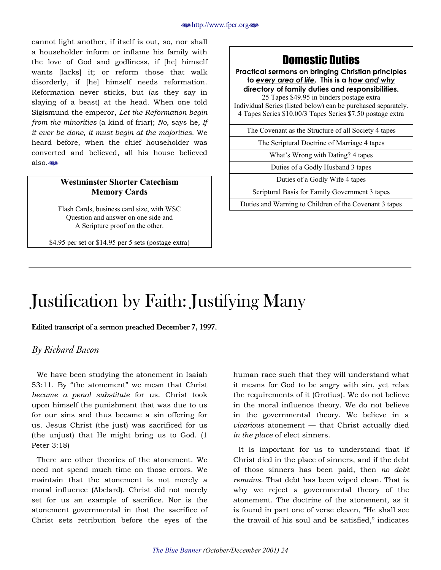<span id="page-23-0"></span>cannot light another, if itself is out, so, nor shall a householder inform or inflame his family with the love of God and godliness, if [he] himself wants [lacks] it; or reform those that walk disorderly, if [he] himself needs reformation. Reformation never sticks, but (as they say in slaying of a beast) at the head. When one told Sigismund the emperor, *Let the Reformation begin from the minorities* (a kind of friar); *No,* says he*, If it ever be done, it must begin at the majorities.* We heard before, when the chief householder was converted and believed, all his house believed also.

### **Westminster Shorter Catechism Memory Cards**

Flash Cards, business card size, with WSC Question and answer on one side and A Scripture proof on the other.

\$4.95 per set or \$14.95 per 5 sets (postage extra)

### Domestic Duties

**Practical sermons on bringing Christian principles to** *every area of life***. This is a** *how and why* **directory of family duties and responsibilities.** 

25 Tapes \$49.95 in binders postage extra Individual Series (listed below) can be purchased separately. 4 Tapes Series \$10.00/3 Tapes Series \$7.50 postage extra

The Covenant as the Structure of all Society 4 tapes

The Scriptural Doctrine of Marriage 4 tapes

What's Wrong with Dating? 4 tapes

Duties of a Godly Husband 3 tapes

Duties of a Godly Wife 4 tapes

Scriptural Basis for Family Government 3 tapes

Duties and Warning to Children of the Covenant 3 tapes

# Justification by Faith: Justifying Many

### Edited transcript of a sermon preached December 7, 1997.

### *By Richard Bacon*

We have been studying the atonement in Isaiah  $53:11.$  By "the atonement" we mean that Christ *became a penal substitute* for us. Christ took upon himself the punishment that was due to us for our sins and thus became a sin offering for us. Jesus Christ (the just) was sacrificed for us (the unjust) that He might bring us to God. (1 Peter 3:18)

There are other theories of the atonement. We need not spend much time on those errors. We maintain that the atonement is not merely a moral influence (Abelard). Christ did not merely set for us an example of sacrifice. Nor is the atonement governmental in that the sacrifice of Christ sets retribution before the eyes of the human race such that they will understand what it means for God to be angry with sin, yet relax the requirements of it (Grotius). We do not believe in the moral influence theory. We do not believe in the governmental theory. We believe in a *vicarious* atonement — that Christ actually died *in the place* of elect sinners.

It is important for us to understand that if Christ died in the place of sinners, and if the debt of those sinners has been paid, then *no debt remains*. That debt has been wiped clean. That is why we reject a governmental theory of the atonement. The doctrine of the atonement, as it is found in part one of verse eleven, "He shall see the travail of his soul and be satisfied," indicates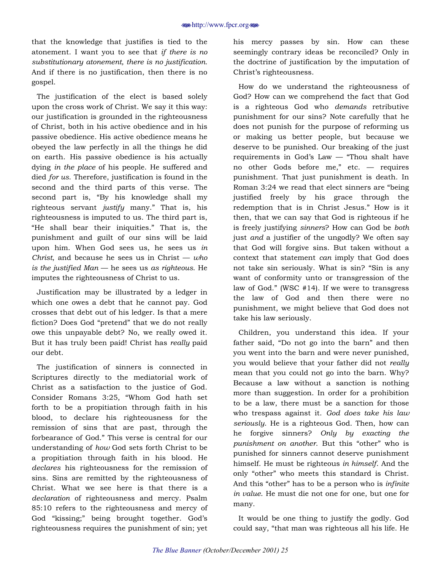that the knowledge that justifies is tied to the atonement. I want you to see that *if there is no substitutionary atonement, there is no justification.*  And if there is no justification, then there is no gospel.

The justification of the elect is based solely upon the cross work of Christ. We say it this way: our justification is grounded in the righteousness of Christ, both in his active obedience and in his passive obedience. His active obedience means he obeyed the law perfectly in all the things he did on earth. His passive obedience is his actually dying *in the place* of his people. He suffered and died *for us*. Therefore, justification is found in the second and the third parts of this verse. The second part is, "By his knowledge shall my righteous servant *justify* many.î That is, his righteousness is imputed to us. The third part is, "He shall bear their iniquities." That is, the punishment and guilt of our sins will be laid upon him. When God sees us, he sees us *in Christ*, and because he sees us in Christ  $-$  *who is the justified Man* — he sees us *as righteous*. He imputes the righteousness of Christ to us.

Justification may be illustrated by a ledger in which one owes a debt that he cannot pay. God crosses that debt out of his ledger. Is that a mere fiction? Does God "pretend" that we do not really owe this unpayable debt? No, we really owed it. But it has truly been paid! Christ has *really* paid our debt.

The justification of sinners is connected in Scriptures directly to the mediatorial work of Christ as a satisfaction to the justice of God. Consider Romans 3:25, "Whom God hath set forth to be a propitiation through faith in his blood, to declare his righteousness for the remission of sins that are past, through the forbearance of God." This verse is central for our understanding of *how* God sets forth Christ to be a propitiation through faith in his blood. He *declares* his righteousness for the remission of sins. Sins are remitted by the righteousness of Christ. What we see here is that there is a *declaration* of righteousness and mercy. Psalm 85:10 refers to the righteousness and mercy of God "kissing;" being brought together. God's righteousness requires the punishment of sin; yet

his mercy passes by sin. How can these seemingly contrary ideas be reconciled? Only in the doctrine of justification by the imputation of Christ's righteousness.

How do we understand the righteousness of God? How can we comprehend the fact that God is a righteous God who *demands* retributive punishment for our sins? Note carefully that he does not punish for the purpose of reforming us or making us better people, but because we deserve to be punished. Our breaking of the just requirements in God's Law  $-$  "Thou shalt have no other Gods before me," etc.  $-$  requires punishment. That just punishment is death. In Roman  $3:24$  we read that elect sinners are "being" justified freely by his grace through the redemption that is in Christ Jesus." How is it then, that we can say that God is righteous if he is freely justifying *sinners*? How can God be *both*  just *and* a justifier of the ungodly? We often say that God will forgive sins. But taken without a context that statement *can* imply that God does not take sin seriously. What is sin? "Sin is any want of conformity unto or transgression of the law of God." (WSC  $#14$ ). If we were to transgress the law of God and then there were no punishment, we might believe that God does not take his law seriously.

Children, you understand this idea. If your father said, "Do not go into the barn" and then you went into the barn and were never punished, you would believe that your father did not *really*  mean that you could not go into the barn. Why? Because a law without a sanction is nothing more than suggestion. In order for a prohibition to be a law, there must be a sanction for those who trespass against it. *God does take his law seriously*. He is a righteous God. Then, how can he forgive sinners? *Only by exacting the punishment on another.* But this "other" who is punished for sinners cannot deserve punishment himself. He must be righteous *in himself*. And the only "other" who meets this standard is Christ. And this "other" has to be a person who is *infinite in value*. He must die not one for one, but one for many.

It would be one thing to justify the godly. God could say, "that man was righteous all his life. He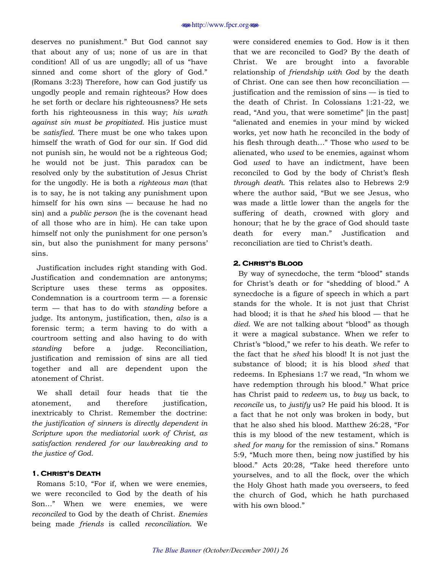deserves no punishment." But God cannot say that about any of us; none of us are in that condition! All of us are ungodly; all of us "have sinned and come short of the glory of God." (Romans 3:23) Therefore, how can God justify us ungodly people and remain righteous? How does he set forth or declare his righteousness? He sets forth his righteousness in this way; *his wrath against sin must be propitiated.* His justice must be *satisfied*. There must be one who takes upon himself the wrath of God for our sin. If God did not punish sin, he would not be a righteous God; he would not be just. This paradox can be resolved only by the substitution of Jesus Christ for the ungodly. He is both a *righteous man* (that is to say, he is not taking any punishment upon himself for his own sins  $-$  because he had no sin) and a *public person* (he is the covenant head of all those who are in him). He can take upon himself not only the punishment for one person's sin, but also the punishment for many persons' sins.

Justification includes right standing with God. Justification and condemnation are antonyms; Scripture uses these terms as opposites. Condemnation is a courtroom term  $-$  a forensic term – that has to do with *standing* before a judge. Its antonym, justification, then, *also* is a forensic term; a term having to do with a courtroom setting and also having to do with *standing* before a judge. Reconciliation, justification and remission of sins are all tied together and all are dependent upon the atonement of Christ.

We shall detail four heads that tie the atonement, and therefore justification, inextricably to Christ. Remember the doctrine: *the justification of sinners is directly dependent in Scripture upon the mediatorial work of Christ, as satisfaction rendered for our lawbreaking and to the justice of God.*

### **1. CHRIST'S DEATH**

Romans 5:10, "For if, when we were enemies, we were reconciled to God by the death of his Son..." When we were enemies, we were *reconciled* to God by the death of Christ. *Enemies*  being made *friends* is called *reconciliation*. We

were considered enemies to God. How is it then that we are reconciled to God? By the death of Christ. We are brought into a favorable relationship of *friendship with God* by the death of Christ. One can see then how reconciliation  $$ justification and the remission of  $sins - is$  tied to the death of Christ. In Colossians 1:21-22, we read, "And you, that were sometime" [in the past] "alienated and enemies in your mind by wicked works, yet now hath he reconciled in the body of his flesh through death..." Those who *used* to be alienated, who *used* to be enemies, against whom God *used* to have an indictment, have been reconciled to God by the body of Christ's flesh *through death*. This relates also to Hebrews 2:9 where the author said, "But we see Jesus, who was made a little lower than the angels for the suffering of death, crowned with glory and honour; that he by the grace of God should taste death for every man." Justification and reconciliation are tied to Christ's death.

### **2. CHRIST'S BLOOD**

By way of synecdoche, the term "blood" stands for Christ's death or for "shedding of blood." A synecdoche is a figure of speech in which a part stands for the whole. It is not just that Christ had blood; it is that he *shed* his blood — that he *died*. We are not talking about "blood" as though it were a magical substance. When we refer to Christ's "blood," we refer to his death. We refer to the fact that he *shed* his blood! It is not just the substance of blood; it is his blood *shed* that redeems. In Ephesians 1:7 we read, "In whom we have redemption through his blood." What price has Christ paid to *redeem* us, to *buy* us back, to *reconcile* us, to *justify* us? He paid his blood. It is a fact that he not only was broken in body, but that he also shed his blood. Matthew  $26:28$ , "For this is my blood of the new testament, which is shed for many for the remission of sins." Romans 5:9, "Much more then, being now justified by his blood." Acts 20:28, "Take heed therefore unto yourselves, and to all the flock, over the which the Holy Ghost hath made you overseers, to feed the church of God, which he hath purchased with his own blood."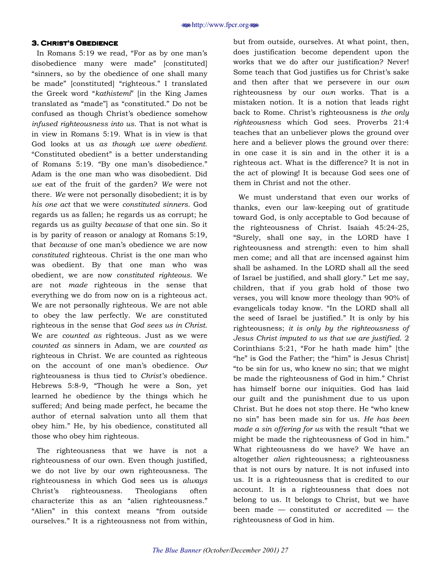#### **3. CHRIST'S OBEDIENCE**

In Romans 5:19 we read, "For as by one man's disobedience many were made" [constituted] "sinners, so by the obedience of one shall many be made" [constituted] "righteous." I translated the Greek word "*kathistemi*" [in the King James translated as "made"] as "constituted." Do not be confused as though Christ's obedience somehow *infused righteousness into us*. That is not what is in view in Romans 5:19. What is in view is that God looks at us *as though we were obedient*. ìConstituted obedientî is a better understanding of Romans 5:19. "By one man's disobedience." Adam is the one man who was disobedient. Did *we* eat of the fruit of the garden? *We* were not there. *We* were not personally disobedient; it is by *his one act* that we were *constituted sinners*. God regards us as fallen; he regards us as corrupt; he regards us as guilty *because* of that one sin. So it is by parity of reason or analogy at Romans 5:19, that *because* of one man's obedience we are now *constituted* righteous. Christ is the one man who was obedient. By that one man who was obedient, we are now *constituted righteous*. We are not *made* righteous in the sense that everything we do from now on is a righteous act. We are not personally righteous. We are not able to obey the law perfectly. We are constituted righteous in the sense that *God sees us in Christ*. We are *counted as* righteous. Just as we were *counted as* sinners in Adam, we are *counted as* righteous in Christ. We are counted as righteous on the account of one manís obedience. *Our*  righteousness is thus tied to *Christís* obedience. Hebrews 5:8-9, "Though he were a Son, yet learned he obedience by the things which he suffered; And being made perfect, he became the author of eternal salvation unto all them that obey him.î He, by his obedience, constituted all those who obey him righteous.

The righteousness that we have is not a righteousness of our own. Even though justified, we do not live by our own righteousness. The righteousness in which God sees us is *always*  Christ's righteousness. Theologians often characterize this as an "alien righteousness." "Alien" in this context means "from outside ourselves." It is a righteousness not from within, but from outside, ourselves. At what point, then, does justification become dependent upon the works that we do after our justification? Never! Some teach that God justifies us for Christ's sake and then after that we persevere in our *own*  righteousness by our *own* works. That is a mistaken notion. It is a notion that leads right back to Rome. Christ's righteousness is *the only righteousness* which God sees. Proverbs 21:4 teaches that an unbeliever plows the ground over here and a believer plows the ground over there: in one case it is sin and in the other it is a righteous act. What is the difference? It is not in the act of plowing! It is because God sees one of them in Christ and not the other.

We must understand that even our works of thanks, even our law-keeping out of gratitude toward God, is only acceptable to God because of the righteousness of Christ. Isaiah 45:24-25, ìSurely, shall one say, in the LORD have I righteousness and strength: even to him shall men come; and all that are incensed against him shall be ashamed. In the LORD shall all the seed of Israel be justified, and shall glory.î Let me say, children, that if you grab hold of those two verses, you will know more theology than 90% of evangelicals today know. "In the LORD shall all the seed of Israel be justified." It is only by his righteousness; *it is only by the righteousness of Jesus Christ imputed to us that we are justified*. 2 Corinthians  $5:21$ , "For he hath made him" [the "he" is God the Father; the "him" is Jesus Christ] ìto be sin for us, who knew no sin; that we might be made the righteousness of God in him." Christ has himself borne our iniquities. God has laid our guilt and the punishment due to us upon Christ. But he does not stop there. He "who knew no sinî has been made sin for us. *He has been made a sin offering for us with the result "that we* might be made the righteousness of God in him." What righteousness do we have? We have an altogether *alien* righteousness; a righteousness that is not ours by nature. It is not infused into us. It is a righteousness that is credited to our account. It is a righteousness that does not belong to us. It belongs to Christ, but we have been made  $-$  constituted or accredited  $-$  the righteousness of God in him.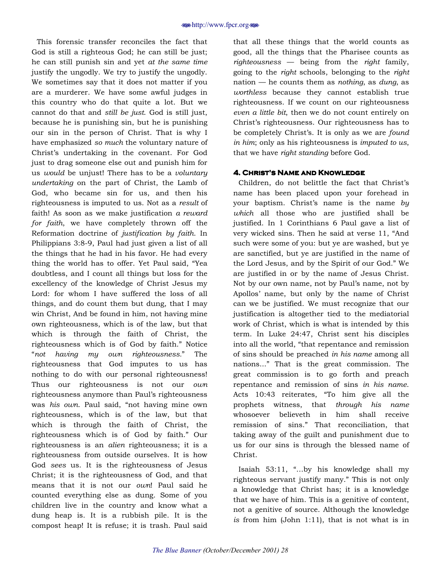This forensic transfer reconciles the fact that God is still a righteous God; he can still be just; he can still punish sin and yet *at the same time* justify the ungodly. We try to justify the ungodly. We sometimes say that it does not matter if you are a murderer. We have some awful judges in this country who do that quite a lot. But we cannot do that and *still be just*. God is still just, because he is punishing sin, but he is punishing our sin in the person of Christ. That is why I have emphasized *so much* the voluntary nature of Christ's undertaking in the covenant. For God just to drag someone else out and punish him for us *would* be unjust! There has to be a *voluntary undertaking* on the part of Christ, the Lamb of God, who became sin for us, and then his righteousness is imputed to us. Not as a *result* of faith! As soon as we make justification *a reward for faith*, we have completely thrown off the Reformation doctrine of *justification by faith*. In Philippians 3:8-9, Paul had just given a list of all the things that he had in his favor. He had every thing the world has to offer. Yet Paul said, "Yea doubtless, and I count all things but loss for the excellency of the knowledge of Christ Jesus my Lord: for whom I have suffered the loss of all things, and do count them but dung, that I may win Christ, And be found in him, not having mine own righteousness, which is of the law, but that which is through the faith of Christ, the righteousness which is of God by faith." Notice ì*not having my own righteousness.*î The righteousness that God imputes to us has nothing to do with our personal righteousness! Thus our righteousness is not our *own*  righteousness anymore than Paul's righteousness was *his own*. Paul said, "not having mine own righteousness, which is of the law, but that which is through the faith of Christ, the righteousness which is of God by faith." Our righteousness is an *alien* righteousness; it is a righteousness from outside ourselves. It is how God *sees* us. It is the righteousness of Jesus Christ; it is the righteousness of God, and that means that it is not our *own*! Paul said he counted everything else as dung. Some of you children live in the country and know what a dung heap is. It is a rubbish pile. It is the compost heap! It is refuse; it is trash. Paul said

that all these things that the world counts as good, all the things that the Pharisee counts as  $right \rightarrow right \rightarrow -\leftarrow$  being from the *right* family, going to the *right* schools, belonging to the *right*  nation – he counts them as *nothing*, as *dung*, as *worthless* because they cannot establish true righteousness. If we count on our righteousness *even a little bit*, then we do not count entirely on Christ's righteousness. Our righteousness has to be completely Christ's. It is only as we are *found in him*; only as his righteousness is *imputed to us*, that we have *right standing* before God.

#### **4. CHRIST'S NAME AND KNOWLEDGE**

Children, do not belittle the fact that Christ's name has been placed upon your forehead in your baptism. Christís name is the name *by which* all those who are justified shall be justified. In 1 Corinthians 6 Paul gave a list of very wicked sins. Then he said at verse 11, "And such were some of you: but ye are washed, but ye are sanctified, but ye are justified in the name of the Lord Jesus, and by the Spirit of our God." We are justified in or by the name of Jesus Christ. Not by our own name, not by Paul's name, not by Apollosí name, but only by the name of Christ can we be justified. We must recognize that our justification is altogether tied to the mediatorial work of Christ, which is what is intended by this term. In Luke 24:47, Christ sent his disciples into all the world, "that repentance and remission of sins should be preached *in his name* among all nations...î That is the great commission. The great commission is to go forth and preach repentance and remission of sins *in his name*. Acts 10:43 reiterates, "To him give all the prophets witness, that *through his name* whosoever believeth in him shall receive remission of sins." That reconciliation, that taking away of the guilt and punishment due to us for our sins is through the blessed name of Christ.

Isaiah 53:11, "...by his knowledge shall my righteous servant justify many." This is not only a knowledge that Christ has; it is a knowledge that we have of him. This is a genitive of content, not a genitive of source. Although the knowledge *is* from him (John 1:11), that is not what is in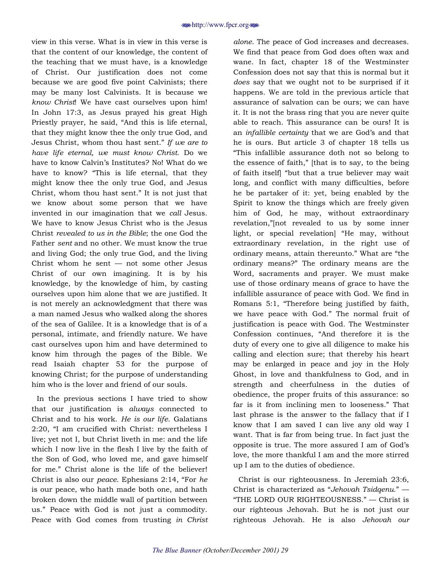view in this verse. What is in view in this verse is that the content of our knowledge, the content of the teaching that we must have, is a knowledge of Christ. Our justification does not come because we are good five point Calvinists; there may be many lost Calvinists. It is because we *know Christ*! We have cast ourselves upon him! In John 17:3, as Jesus prayed his great High Priestly prayer, he said, "And this is life eternal, that they might know thee the only true God, and Jesus Christ, whom thou hast sent.î *If we are to have life eternal, we must know Christ*. Do we have to know Calvin's Institutes? No! What do we have to know? "This is life eternal, that they might know thee the only true God, and Jesus Christ, whom thou hast sent." It is not just that we know about some person that we have invented in our imagination that we *call* Jesus. We have to know Jesus Christ who is the Jesus Christ *revealed to us in the Bible*; the one God the Father *sent* and no other. We must know the true and living God; the only true God, and the living Christ whom he sent  $-$  not some other Jesus Christ of our own imagining. It is by his knowledge, by the knowledge of him, by casting ourselves upon him alone that we are justified. It is not merely an acknowledgment that there was a man named Jesus who walked along the shores of the sea of Galilee. It is a knowledge that is of a personal, intimate, and friendly nature. We have cast ourselves upon him and have determined to know him through the pages of the Bible. We read Isaiah chapter 53 for the purpose of knowing Christ; for the purpose of understanding him who is the lover and friend of our souls.

In the previous sections I have tried to show that our justification is *always* connected to Christ and to his work. *He is our life*. Galatians 2:20, "I am crucified with Christ: nevertheless I live; yet not I, but Christ liveth in me: and the life which I now live in the flesh I live by the faith of the Son of God, who loved me, and gave himself for me." Christ alone is the life of the believer! Christ is also our *peace*. Ephesians 2:14, "For *he* is our peace, who hath made both one, and hath broken down the middle wall of partition between us." Peace with God is not just a commodity. Peace with God comes from trusting *in Christ* 

*alone*. The peace of God increases and decreases. We find that peace from God does often wax and wane. In fact, chapter 18 of the Westminster Confession does not say that this is normal but it *does* say that we ought not to be surprised if it happens. We are told in the previous article that assurance of salvation can be ours; we can have it. It is not the brass ring that you are never quite able to reach. This assurance can be ours! It is an *infallible certainty* that we are God's and that he is ours. But article 3 of chapter 18 tells us ìThis infallible assurance doth not so belong to the essence of faith,"  $[$ that is to say, to the being of faith itself "but that a true believer may wait long, and conflict with many difficulties, before he be partaker of it: yet, being enabled by the Spirit to know the things which are freely given him of God, he may, without extraordinary revelation," not revealed to us by some inner light, or special revelation "He may, without extraordinary revelation, in the right use of ordinary means, attain thereunto." What are "the ordinary means?î The ordinary means are the Word, sacraments and prayer. We must make use of those ordinary means of grace to have the infallible assurance of peace with God. We find in Romans 5:1, "Therefore being justified by faith, we have peace with God.î The normal fruit of justification is peace with God. The Westminster Confession continues, "And therefore it is the duty of every one to give all diligence to make his calling and election sure; that thereby his heart may be enlarged in peace and joy in the Holy Ghost, in love and thankfulness to God, and in strength and cheerfulness in the duties of obedience, the proper fruits of this assurance: so far is it from inclining men to looseness." That last phrase is the answer to the fallacy that if I know that I am saved I can live any old way I want. That is far from being true. In fact just the opposite is true. The more assured I am of Godís love, the more thankful I am and the more stirred up I am to the duties of obedience.

Christ is our righteousness. In Jeremiah 23:6, Christ is characterized as "Jehovah Tsidqenu.<sup>"</sup> —  $H$ THE LORD OUR RIGHTEOUSNESS."  $-$  Christ is our righteous Jehovah. But he is not just our righteous Jehovah. He is also *Jehovah our*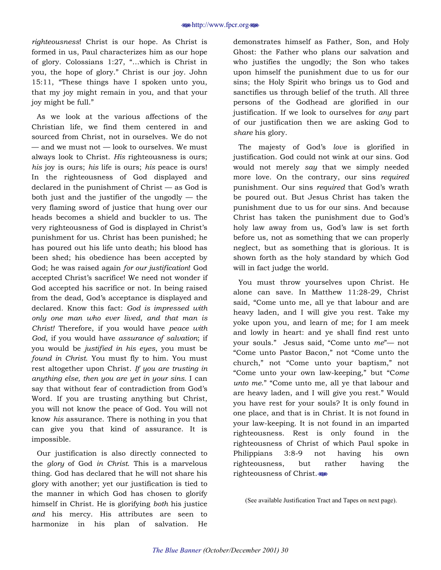*righteousness*! Christ is our hope. As Christ is formed in us, Paul characterizes him as our hope of glory. Colossians  $1:27$ , "...which is Christ in you, the hope of glory." Christ is our joy. John  $15:11$ , "These things have I spoken unto you, that my joy might remain in you, and that your joy might be full."

As we look at the various affections of the Christian life, we find them centered in and sourced from Christ, not in ourselves. We do not  $-$  and we must not  $-$  look to ourselves. We must always look to Christ. *His* righteousness is ours; *his* joy is ours; *his* life is ours; *his* peace is ours! In the righteousness of God displayed and declared in the punishment of  $Christ - as God$  is both just and the justifier of the ungodly  $-$  the very flaming sword of justice that hung over our heads becomes a shield and buckler to us. The very righteousness of God is displayed in Christ's punishment for us. Christ has been punished; he has poured out his life unto death; his blood has been shed; his obedience has been accepted by God; he was raised again *for our justification*! God accepted Christ's sacrifice! We need not wonder if God accepted his sacrifice or not. In being raised from the dead, God's acceptance is displayed and declared. Know this fact: *God is impressed with only one man who ever lived, and that man is Christ!* Therefore, if you would have *peace with God*, if you would have *assurance of salvation*; if you would be *justified in his eyes*, you must be *found in Christ*. You must fly to him. You must rest altogether upon Christ. *If you are trusting in anything else, then you are yet in your sins.* I can say that without fear of contradiction from God's Word. If you are trusting anything but Christ, you will not know the peace of God. You will not know *his* assurance. There is nothing in you that can give you that kind of assurance. It is impossible.

Our justification is also directly connected to the *glory* of God *in Christ*. This is a marvelous thing. God has declared that he will not share his glory with another; yet our justification is tied to the manner in which God has chosen to glorify himself in Christ. He is glorifying *both* his justice *and* his mercy. His attributes are seen to harmonize in his plan of salvation. He

demonstrates himself as Father, Son, and Holy Ghost: the Father who plans our salvation and who justifies the ungodly; the Son who takes upon himself the punishment due to us for our sins; the Holy Spirit who brings us to God and sanctifies us through belief of the truth. All three persons of the Godhead are glorified in our justification. If we look to ourselves for *any* part of our justification then we are asking God to *share* his glory.

The majesty of God's *love* is glorified in justification. God could not wink at our sins. God would not merely *say* that we simply needed more love. On the contrary, our sins *required* punishment. Our sins *required* that God's wrath be poured out. But Jesus Christ has taken the punishment due to us for our sins. And because Christ has taken the punishment due to Godís holy law away from us, God's law is set forth before us, not as something that we can properly neglect, but as something that is glorious. It is shown forth as the holy standard by which God will in fact judge the world.

You must throw yourselves upon Christ. He alone can save. In Matthew 11:28-29, Christ said, "Come unto me, all ye that labour and are heavy laden, and I will give you rest. Take my yoke upon you, and learn of me; for I am meek and lowly in heart: and ye shall find rest unto your souls." Jesus said, "Come unto *me*"— not "Come unto Pastor Bacon," not "Come unto the church," not "Come unto your baptism," not ìCome unto your own law-keeping,î but ìC*ome unto me.*" "Come unto me, all ye that labour and are heavy laden, and I will give you rest." Would you have rest for your souls? It is only found in one place, and that is in Christ. It is not found in your law-keeping. It is not found in an imparted righteousness. Rest is only found in the righteousness of Christ of which Paul spoke in Philippians 3:8-9 not having his own righteousness, but rather having the righteousness of Christ.

(See available Justification Tract and Tapes on next page).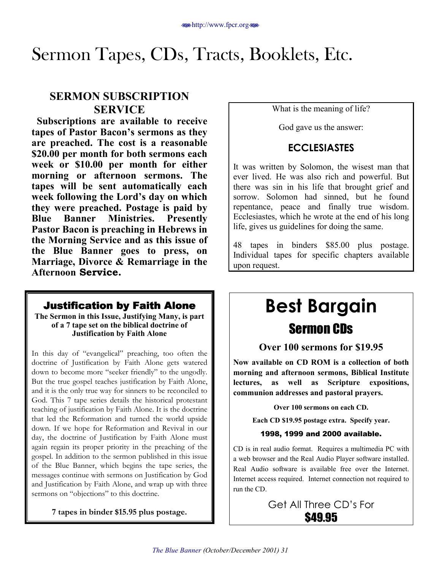# <span id="page-30-0"></span>Sermon Tapes, CDs, Tracts, Booklets, Etc.

### **SERMON SUBSCRIPTION SERVICE**

**Subscriptions are available to receive**  tapes of Pastor Bacon's sermons as they **are preached. The cost is a reasonable \$20.00 per month for both sermons each week or \$10.00 per month for either morning or afternoon sermons. The tapes will be sent automatically each week following the Lord's day on which they were preached. Postage is paid by Blue Banner Ministries. Presently Pastor Bacon is preaching in Hebrews in the Morning Service and as this issue of the Blue Banner goes to press, on Marriage, Divorce & Remarriage in the Afternoon** Service.

### **Justification by Faith Alone**

**The Sermon in this Issue, Justifying Many, is part of a 7 tape set on the biblical doctrine of Justification by Faith Alone** 

In this day of "evangelical" preaching, too often the doctrine of Justification by Faith Alone gets watered down to become more "seeker friendly" to the ungodly. But the true gospel teaches justification by Faith Alone, and it is the only true way for sinners to be reconciled to God. This 7 tape series details the historical protestant teaching of justification by Faith Alone. It is the doctrine that led the Reformation and turned the world upside down. If we hope for Reformation and Revival in our day, the doctrine of Justification by Faith Alone must again regain its proper priority in the preaching of the gospel. In addition to the sermon published in this issue of the Blue Banner, which begins the tape series, the messages continue with sermons on Justification by God and Justification by Faith Alone, and wrap up with three sermons on "objections" to this doctrine.

**7 tapes in binder \$15.95 plus postage.** 

What is the meaning of life?

God gave us the answer:

### **ECCLESIASTES**

It was written by Solomon, the wisest man that ever lived. He was also rich and powerful. But there was sin in his life that brought grief and sorrow. Solomon had sinned, but he found repentance, peace and finally true wisdom. Ecclesiastes, which he wrote at the end of his long life, gives us guidelines for doing the same.

48 tapes in binders \$85.00 plus postage. Individual tapes for specific chapters available upon request.

# **Best Bargain**  Sermon CDs

### **Over 100 sermons for \$19.95**

**Now available on CD ROM is a collection of both morning and afternoon sermons, Biblical Institute lectures, as well as Scripture expositions, communion addresses and pastoral prayers.** 

**Over 100 sermons on each CD.** 

**Each CD \$19.95 postage extra. Specify year.** 

### 1998, 1999 and 2000 available.

CD is in real audio format. Requires a multimedia PC with a web browser and the Real Audio Player software installed. Real Audio software is available free over the Internet. Internet access required. Internet connection not required to run the CD.

> Get All Three CD's For **\$49.95**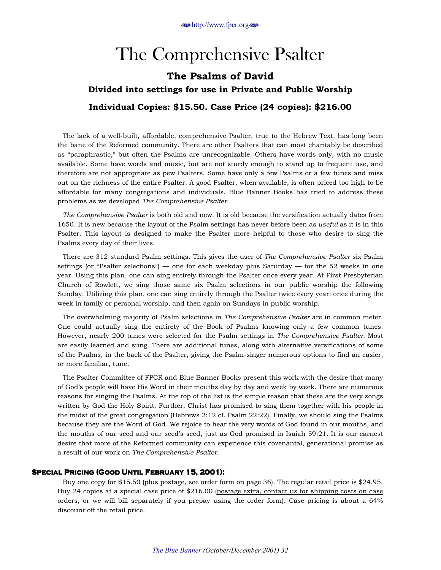# The Comprehensive Psalter

## <span id="page-31-0"></span>The Psalms of David Divided into settings for use in Private and Public Worship Individual Copies: \$15.50. Case Price (24 copies): \$216.00

The lack of a well-built, affordable, comprehensive Psalter, true to the Hebrew Text, has long been the bane of the Reformed community. There are other Psalters that can most charitably be described as "paraphrastic," but often the Psalms are unrecognizable. Others have words only, with no music available. Some have words and music, but are not sturdy enough to stand up to frequent use, and therefore are not appropriate as pew Psalters. Some have only a few Psalms or a few tunes and miss out on the richness of the entire Psalter. A good Psalter, when available, is often priced too high to be affordable for many congregations and individuals. Blue Banner Books has tried to address these problems as we developed *The Comprehensive Psalter.* 

*The Comprehensive Psalter* is both old and new. It is old because the versification actually dates from 1650. It is new because the layout of the Psalm settings has never before been as *useful* as it is in this Psalter. This layout is designed to make the Psalter more helpful to those who desire to sing the Psalms every day of their lives.

There are 312 standard Psalm settings. This gives the user of *The Comprehensive Psalter* six Psalm settings (or "Psalter selections")  $-$  one for each weekday plus Saturday  $-$  for the 52 weeks in one year. Using this plan, one can sing entirely through the Psalter once every year. At First Presbyterian Church of Rowlett, we sing those same six Psalm selections in our public worship the following Sunday. Utilizing this plan, one can sing entirely through the Psalter twice every year: once during the week in family or personal worship, and then again on Sundays in public worship.

The overwhelming majority of Psalm selections in *The Comprehensive Psalter* are in common meter. One could actually sing the entirety of the Book of Psalms knowing only a few common tunes. However, nearly 200 tunes were selected for the Psalm settings in *The Comprehensive Psalter.* Most are easily learned and sung. There are additional tunes, along with alternative versifications of some of the Psalms, in the back of the Psalter, giving the Psalm-singer numerous options to find an easier, or more familiar, tune.

The Psalter Committee of FPCR and Blue Banner Books present this work with the desire that many of Godís people will have His Word in their mouths day by day and week by week. There are numerous reasons for singing the Psalms. At the top of the list is the simple reason that these are the very songs written by God the Holy Spirit. Further, Christ has promised to sing them together with his people in the midst of the great congregation (Hebrews 2:12 cf. Psalm 22:22). Finally, we should sing the Psalms because they are the Word of God. We rejoice to hear the very words of God found in our mouths, and the mouths of our seed and our seed's seed, just as God promised in Isaiah 59:21. It is our earnest desire that more of the Reformed community can experience this covenantal, generational promise as a result of our work on *The Comprehensive Psalter*.

#### **SPECIAL PRICING (GOOD UNTIL FEBRUARY 15, 2001):**

Buy one copy for \$15.50 (plus postage, see order form on page 36). The regular retail price is \$24.95. Buy 24 copies at a special case price of \$216.00 (postage extra, contact us for shipping costs on case orders, or we will bill separately if you prepay using the order form). Case pricing is about a 64% discount off the retail price.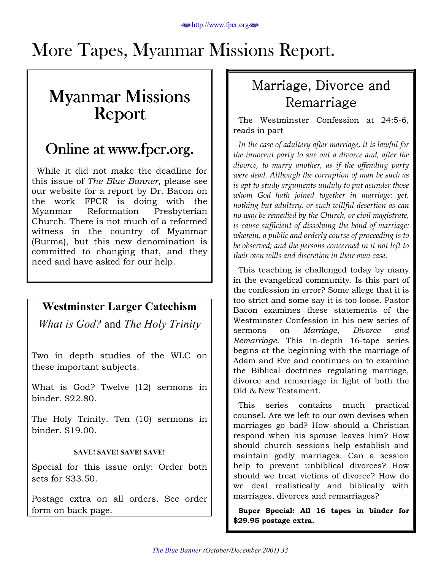# <span id="page-32-0"></span>More Tapes, Myanmar Missions Report.

# **Myanmar Missions<br>Report**

# Online at www.fpcr.org.

While it did not make the deadline for this issue of *The Blue Banner*, please see our website for a report by Dr. Bacon on the work FPCR is doing with the Myanmar Reformation Presbyterian Church. There is not much of a reformed witness in the country of Myanmar (Burma), but this new denomination is committed to changing that, and they need and have asked for our help.

## **Westminster Larger Catechism**

*What is God?* and *The Holy Trinity*

Two in depth studies of the WLC on these important subjects.

What is God? Twelve (12) sermons in binder. \$22.80.

The Holy Trinity. Ten (10) sermons in binder. \$19.00.

### **SAVE! SAVE! SAVE! SAVE!**

Special for this issue only: Order both sets for \$33.50.

Postage extra on all orders. See order form on back page.

# Marriage, Divorce and Remarriage

The Westminster Confession at 24:5-6, reads in part

*In the case of adultery after marriage, it is lawful for the innocent party to sue out a divorce and, after the divorce, to marry another, as if the offending party were dead. Although the corruption of man be such as is apt to study arguments unduly to put asunder those whom God hath joined together in marriage: yet, nothing but adultery, or such willful desertion as can no way be remedied by the Church, or civil magistrate, is cause sufficient of dissolving the bond of marriage: wherein, a public and orderly course of proceeding is to be observed; and the persons concerned in it not left to their own wills and discretion in their own case.*

This teaching is challenged today by many in the evangelical community. Is this part of the confession in error? Some allege that it is too strict and some say it is too loose. Pastor Bacon examines these statements of the Westminster Confession in his new series of sermons on *Marriage, Divorce and Remarriage.* This in-depth 16-tape series begins at the beginning with the marriage of Adam and Eve and continues on to examine the Biblical doctrines regulating marriage, divorce and remarriage in light of both the Old & New Testament.

This series contains much practical counsel. Are we left to our own devises when marriages go bad? How should a Christian respond when his spouse leaves him? How should church sessions help establish and maintain godly marriages. Can a session help to prevent unbiblical divorces? How should we treat victims of divorce? How do we deal realistically and biblically with marriages, divorces and remarriages?

Super Special: All 16 tapes in binder for \$29.95 postage extra.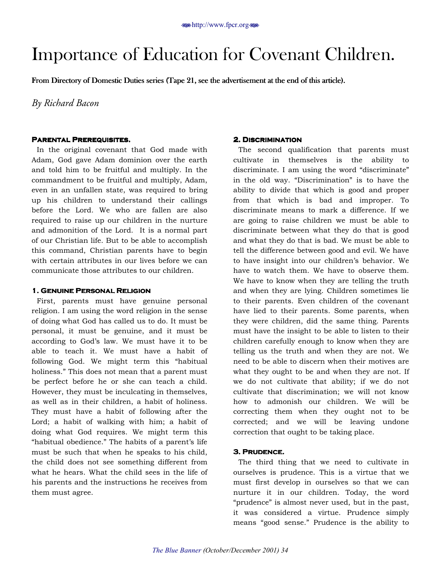# <span id="page-33-0"></span>Importance of Education for Covenant Children.

From Directory of Domestic Duties series (Tape 21, see the advertisement at the end of this article).

*By Richard Bacon* 

#### **Parental Prerequisites. Prerequisites.**

In the original covenant that God made with Adam, God gave Adam dominion over the earth and told him to be fruitful and multiply. In the commandment to be fruitful and multiply, Adam, even in an unfallen state, was required to bring up his children to understand their callings before the Lord. We who are fallen are also required to raise up our children in the nurture and admonition of the Lord. It is a normal part of our Christian life. But to be able to accomplish this command, Christian parents have to begin with certain attributes in our lives before we can communicate those attributes to our children.

#### **1. GENUINE PERSONAL RELIGION**

First, parents must have genuine personal religion. I am using the word religion in the sense of doing what God has called us to do. It must be personal, it must be genuine, and it must be according to God's law. We must have it to be able to teach it. We must have a habit of following God. We might term this "habitual holiness." This does not mean that a parent must be perfect before he or she can teach a child. However, they must be inculcating in themselves, as well as in their children, a habit of holiness. They must have a habit of following after the Lord; a habit of walking with him; a habit of doing what God requires. We might term this "habitual obedience." The habits of a parent's life must be such that when he speaks to his child, the child does not see something different from what he hears. What the child sees in the life of his parents and the instructions he receives from them must agree.

#### **2. DISCRIMINATION**

The second qualification that parents must cultivate in themselves is the ability to discriminate. I am using the word "discriminate" in the old way. "Discrimination" is to have the ability to divide that which is good and proper from that which is bad and improper. To discriminate means to mark a difference. If we are going to raise children we must be able to discriminate between what they do that is good and what they do that is bad. We must be able to tell the difference between good and evil. We have to have insight into our children's behavior. We have to watch them. We have to observe them. We have to know when they are telling the truth and when they are lying. Children sometimes lie to their parents. Even children of the covenant have lied to their parents. Some parents, when they were children, did the same thing. Parents must have the insight to be able to listen to their children carefully enough to know when they are telling us the truth and when they are not. We need to be able to discern when their motives are what they ought to be and when they are not. If we do not cultivate that ability; if we do not cultivate that discrimination; we will not know how to admonish our children. We will be correcting them when they ought not to be corrected; and we will be leaving undone correction that ought to be taking place.

### **3. Prudence.**

The third thing that we need to cultivate in ourselves is prudence. This is a virtue that we must first develop in ourselves so that we can nurture it in our children. Today, the word "prudence" is almost never used, but in the past, it was considered a virtue. Prudence simply means "good sense." Prudence is the ability to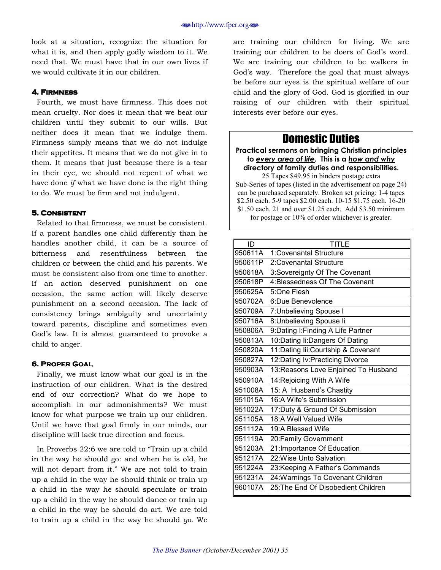look at a situation, recognize the situation for what it is, and then apply godly wisdom to it. We need that. We must have that in our own lives if we would cultivate it in our children.

#### **4. FIRMNESS**

Fourth, we must have firmness. This does not mean cruelty. Nor does it mean that we beat our children until they submit to our wills. But neither does it mean that we indulge them. Firmness simply means that we do not indulge their appetites. It means that we do not give in to them. It means that just because there is a tear in their eye, we should not repent of what we have done *if* what we have done is the right thing to do. We must be firm and not indulgent.

#### **5. Consistent 5. Consistent**

Related to that firmness, we must be consistent. If a parent handles one child differently than he handles another child, it can be a source of bitterness and resentfulness between the children or between the child and his parents. We must be consistent also from one time to another. If an action deserved punishment on one occasion, the same action will likely deserve punishment on a second occasion. The lack of consistency brings ambiguity and uncertainty toward parents, discipline and sometimes even God's law. It is almost guaranteed to provoke a child to anger.

#### **6. PROPER GOAL**

Finally, we must know what our goal is in the instruction of our children. What is the desired end of our correction? What do we hope to accomplish in our admonishments? We must know for what purpose we train up our children. Until we have that goal firmly in our minds, our discipline will lack true direction and focus.

In Proverbs 22:6 we are told to "Train up a child" in the way he should go: and when he is old, he will not depart from it." We are not told to train up a child in the way he should think or train up a child in the way he should speculate or train up a child in the way he should dance or train up a child in the way he should do art. We are told to train up a child in the way he should *go*. We

are training our children for living. We are training our children to be doers of God's word. We are training our children to be walkers in God's way. Therefore the goal that must always be before our eyes is the spiritual welfare of our child and the glory of God. God is glorified in our raising of our children with their spiritual interests ever before our eyes.

### Domestic Duties

**Practical sermons on bringing Christian principles to** *every area of life***. This is a** *how and why* **directory of family duties and responsibilities.** 

25 Tapes \$49.95 in binders postage extra Sub-Series of tapes (listed in the advertisement on page 24) can be purchased separately. Broken set pricing: 1-4 tapes \$2.50 each. 5-9 tapes \$2.00 each. 10-15 \$1.75 each. 16-20 \$1.50 each. 21 and over \$1.25 each. Add \$3.50 minimum for postage or 10% of order whichever is greater.

| ID      | TITI F                               |  |  |
|---------|--------------------------------------|--|--|
| 950611A | 1:Covenantal Structure               |  |  |
| 950611P | 2: Covenantal Structure              |  |  |
| 950618A | 3: Sovereignty Of The Covenant       |  |  |
| 950618P | 4: Blessedness Of The Covenant       |  |  |
| 950625A | 5:One Flesh                          |  |  |
| 950702A | 6:Due Benevolence                    |  |  |
| 950709A | 7: Unbelieving Spouse I              |  |  |
| 950716A | 8: Unbelieving Spouse li             |  |  |
| 950806A | 9:Dating I: Finding A Life Partner   |  |  |
| 950813A | 10:Dating li:Dangers Of Dating       |  |  |
| 950820A | 11:Dating lii:Courtship & Covenant   |  |  |
| 950827A | 12: Dating Iv: Practicing Divorce    |  |  |
| 950903A | 13: Reasons Love Enjoined To Husband |  |  |
| 950910A | 14: Rejoicing With A Wife            |  |  |
| 951008A | 15: A Husband's Chastity             |  |  |
| 951015A | 16:A Wife's Submission               |  |  |
| 951022A | 17: Duty & Ground Of Submission      |  |  |
| 951105A | 18:A Well Valued Wife                |  |  |
| 951112A | 19:A Blessed Wife                    |  |  |
| 951119A | 20: Family Government                |  |  |
| 951203A | 21: Importance Of Education          |  |  |
| 951217A | 22: Wise Unto Salvation              |  |  |
| 951224A | 23: Keeping A Father's Commands      |  |  |
| 951231A | 24: Warnings To Covenant Children    |  |  |
| 960107A | 25: The End Of Disobedient Children  |  |  |
|         |                                      |  |  |